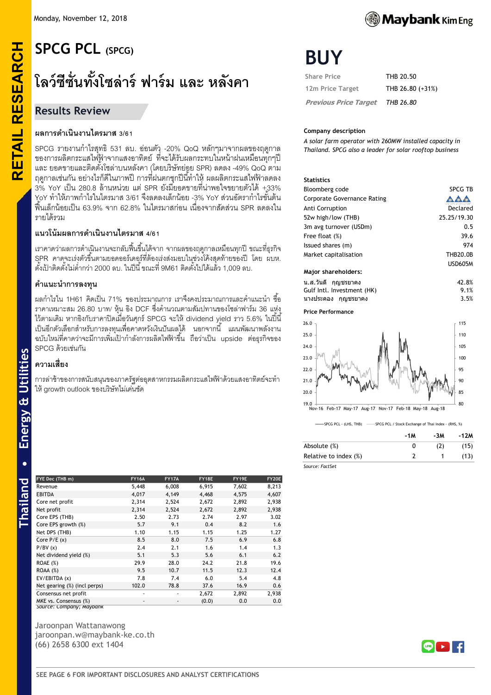# **RETAIL RESEARCH SPCG PCL (SPCG)**

# **โลว์ซีซั่นทั้งโซล่าร์ฟาร์ม และ หลังคา**

# **Results Review**

**RETAIL RESEARCH** 

# **ผลการด าเนินงานไตรมาส 3/61**

SPCG รายงานกำไรสุทธิ 531 ลบ. อ่อนตัว -20% QoQ หลักๆมาจากผลของฤดูกาล ของการผลิตกระแสไฟฟ้ าจากแสงอาทิตย์ ที่จะได้รับผลกระทบในหน้าฝนเหมือนทุกๆปี และ ยอดขายและติดตั้งโซล่าบนหลังคา (โดยบริษัทย่อย SPR) ลดลง -49% QoQ ตาม ้ ถดกาลเช่นกัน อย่างไรก็ดีในภาพปี การที่ฝนตกชกปีนี้ทำให้ ผลผลิตกระแสไฟฟ้าลดลง  $3\%$  YoY เป็น 280.8 ล้านหน่วย แต่ SPR ยังมียอดขายที่น่าพอใจขยายตัวได้ +33% YoY ทำให้ภาพกำไรในไตรมาส 3/61 จึงลดลงเล็กน้อย -3% YoY ส่วนอัตรากำไรขั้นต้น ฟื้นเล็กน้อยเป็น 63.9% จาก 62.8% ในไตรมาสก่อน เนื่องจากสัดส่วน SPR ลดลงใน รายได้รวม

# **แนวโน้มผลการด าเนินงานไตรมาส 4/61**

ี เราคาดว่าผลการดำเนินงานจะกลับฟื้นขึ้นได้จาก จากผลของฤดูกาลเหมือนทุกปี ขณะที่ธุรกิจ SPR คาดจะเร่งตัวขึ ้นตามยอดออร์เดอร์ที่ต้องเร่งส่งมอบในช่วงโค้งสุดท้ายของปี โดย ผบห. ี ตั้งเป้าติดตั้งไม่ต่ำกว่า 2000 ลบ. ในปีนี้ ขณะที่ 9M61 ติดตั้งไปได้แล้ว 1,009 ลบ.

# **ค าแนะน าการลงทุน**

ี ผลกำไรใน 1H61 คิดเป็น 71% ของประมาณการ เราจึงคงประมาณการและคำแนะนำ ซื้อ ิ ราคาเหมาะสม 26.80 บาท/ หุ้น อิง DCF ซึ่งคำนวณตามสัมปทานของโซล่าฟาร์ม 36 แห่ง ี ไว้ตามเดิม หากอิงกับราคาปิดเมื่อวันศุกร์ SPCG จะให้ dividend yield ราว 5.6% ในปี้นี้ เป็ นอีกตัวเลือกส าหรับการลงทุนเพื่อคาดหวังเงินปันผลได้ นอกจากนี ้ แผนพัฒนาพลังงาน ิ ฉบับใหม่ที่คาดว่าจะมีการเพิ่มเป้ากำลังการผลิตไฟฟ้าขึ้น ถือว่าเป็น upside ต่อธุรกิจของ SPCG ด้วยเช่นกัน

# **ความเสี่ยง**

การล่าช้าของการสนับสนุนของภาครัฐต่ออุตสาหกรรมผลิตกระแสไฟฟ้าด้วยแสงอาทิตย์จะทำ ให้growth outlook ของบริษัทไม่เด่นชัด

| FYE Dec (THB m)              | <b>FY16A</b>             | <b>FY17A</b> | FY18E | FY19E | FY20E |
|------------------------------|--------------------------|--------------|-------|-------|-------|
| Revenue                      | 5,448                    | 6,008        | 6,915 | 7,602 | 8,213 |
| <b>EBITDA</b>                | 4,017                    | 4,149        | 4,468 | 4,575 | 4,607 |
| Core net profit              | 2,314                    | 2,524        | 2,672 | 2,892 | 2,938 |
| Net profit                   | 2,314                    | 2,524        | 2,672 | 2,892 | 2,938 |
| Core EPS (THB)               | 2.50                     | 2.73         | 2.74  | 2.97  | 3.02  |
| Core EPS growth (%)          | 5.7                      | 9.1          | 0.4   | 8.2   | 1.6   |
| Net DPS (THB)                | 1.10                     | 1.15         | 1.15  | 1.25  | 1.27  |
| Core $P/E(x)$                | 8.5                      | 8.0          | 7.5   | 6.9   | 6.8   |
| P/BV(x)                      | 2.4                      | 2.1          | 1.6   | 1.4   | 1.3   |
| Net dividend yield (%)       | 5.1                      | 5.3          | 5.6   | 6.1   | 6.2   |
| ROAE(%)                      | 29.9                     | 28.0         | 24.2  | 21.8  | 19.6  |
| $ROAA (\%)$                  | 9.5                      | 10.7         | 11.5  | 12.3  | 12.4  |
| EV/EBITDA (x)                | 7.8                      | 7.4          | 6.0   | 5.4   | 4.8   |
| Net gearing (%) (incl perps) | 102.0                    | 78.8         | 37.6  | 16.9  | 0.6   |
| Consensus net profit         | ٠                        | ٠            | 2,672 | 2,892 | 2,938 |
| MKE vs. Consensus (%)        | $\overline{\phantom{a}}$ | ٠            | (0.0) | 0.0   | 0.0   |
| Source: Lompany; Maybank     |                          |              |       |       |       |

Jaroonpan Wattanawong jaroonpan.w@maybank-ke.co.th (66) 2658 6300 ext 1404



# **BUY**

| <b>Share Price</b>           | THB 20.50        |
|------------------------------|------------------|
| 12m Price Target             | THB 26.80 (+31%) |
| <b>Previous Price Target</b> | THB 26.80        |

#### **Company description**

*A solar farm operator with 260MW installed capacity in Thailand. SPCG also a leader for solar rooftop business*

#### **Statistics**

| Bloomberg code                     | SPCG TB         |
|------------------------------------|-----------------|
| <b>Corporate Governance Rating</b> |                 |
| Anti Corruption                    | Declared        |
| 52w high/low (THB)                 | 25.25/19.30     |
| 3m avg turnover (USDm)             | 0.5             |
| Free float (%)                     | 39.6            |
| Issued shares (m)                  | 974             |
| Market capitalisation              | <b>THB20.0B</b> |
|                                    | USD605M         |
| Major shareholders:                |                 |

| น.ส.วันดี กญชรยาคง         | 42.8% |
|----------------------------|-------|
| Gulf Intl. Investment (HK) | 9.1%  |
| นางประคอง กญชรยาคง         | 3.5%  |

#### **Price Performance**



-<br>SPCG PCL - (LHS, THB) -------<br>SPCG PCL - (LHS, THB) ----------------------------

|                       | -1M | -3M | -12M |
|-----------------------|-----|-----|------|
| Absolute (%)          | 0   | (2) | (15) |
| Relative to index (%) |     |     | (13) |
| Source: FactSet       |     |     |      |

 $\ddot{\phantom{0}}$ 

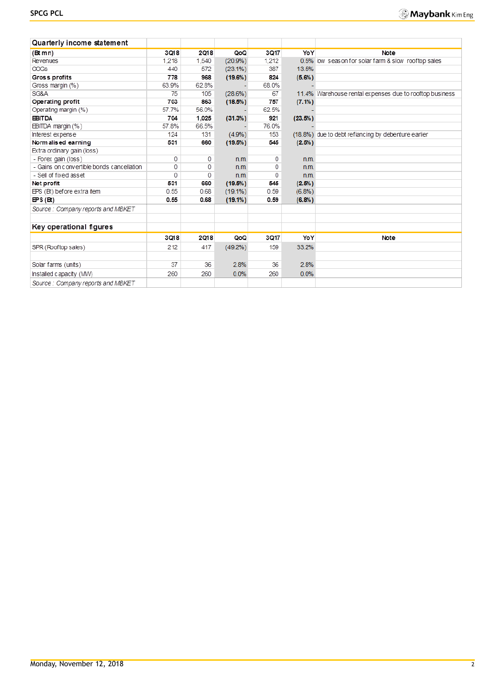| Quarterly income statement                |       |       |            |       |           |                                                         |
|-------------------------------------------|-------|-------|------------|-------|-----------|---------------------------------------------------------|
| $(Bt$ mn)                                 | 3018  | 2018  | QoQ        | 3017  | YoY       | Note                                                    |
| Revenues                                  | 1.218 | 1.540 | $(20.9\%)$ | 1.212 |           | 0.5% low season for solar farm & slow rooftop sales     |
| <b>COGS</b>                               | 440   | 572   | $(23.1\%)$ | 387   | 13.5%     |                                                         |
| Gross profits                             | 778   | 968   | (19.6%)    | 824   | $(5.6\%)$ |                                                         |
| Gross margin (%)                          | 63.9% | 62.8% |            | 68.0% |           |                                                         |
| SG&A                                      | 75    | 105   | (28.6%)    | 67    |           | 11.4% Warehouse rental expenses due to rooftop business |
| Operating profit                          | 703   | 863   | (18.5%)    | 757   | $(7.1\%)$ |                                                         |
| Operating margin (%)                      | 57.7% | 56.0% |            | 62.5% |           |                                                         |
| <b>EBITDA</b>                             | 704   | 1.025 | (31.3%)    | 921   | (23.5%)   |                                                         |
| EBITDA margin (%)                         | 57.8% | 66.5% |            | 76.0% |           |                                                         |
| Interest expense                          | 124   | 131   | $(4.9\%)$  | 153   |           | (18.8%) due to debt refiancing by debenture earlier     |
| Norm alised earning                       | 531   | 660   | $(19.5\%)$ | 545   | (2.5%)    |                                                         |
| Extra ordinary gain (loss)                |       |       |            |       |           |                                                         |
| - Forex gain (loss)                       | 0     | 0     | n.m.       | 0     | n.m.      |                                                         |
| - Gains on convertible bonds cancellation | 0     | 0     | n.m.       | 0     | n.m.      |                                                         |
| - Sell of fixed asset                     | 0     | 0     | n.m.       | 0     | n.m.      |                                                         |
| Net profit                                | 531   | 660   | (19.5%)    | 545   | (2.5%)    |                                                         |
| EPS (Bt) before extra item                | 0.55  | 0.68  | $(19.1\%)$ | 0.59  | (6.8%)    |                                                         |
| $\textbf{IPS}(\textbf{B})$                | 0.55  | 0.68  | $(19.1\%)$ | 0.59  | (6.8%)    |                                                         |
| Source: Company reports and MBKET         |       |       |            |       |           |                                                         |
| Key operational figures                   |       |       |            |       |           |                                                         |
|                                           | 3018  | 2018  | QoQ        | 3Q17  | YoY       | Note                                                    |
| SPR (Rooftop sales)                       | 212   | 417   | $(49.2\%)$ | 159   | 33.2%     |                                                         |
|                                           |       |       |            |       |           |                                                         |
| Solar farms (units)                       | 37    | 36    | 2.8%       | 36    | 2.8%      |                                                         |
| Installed capacity (MW)                   | 260   | 260   | 0.0%       | 260   | 0.0%      |                                                         |
| Source: Company reports and MBKET         |       |       |            |       |           |                                                         |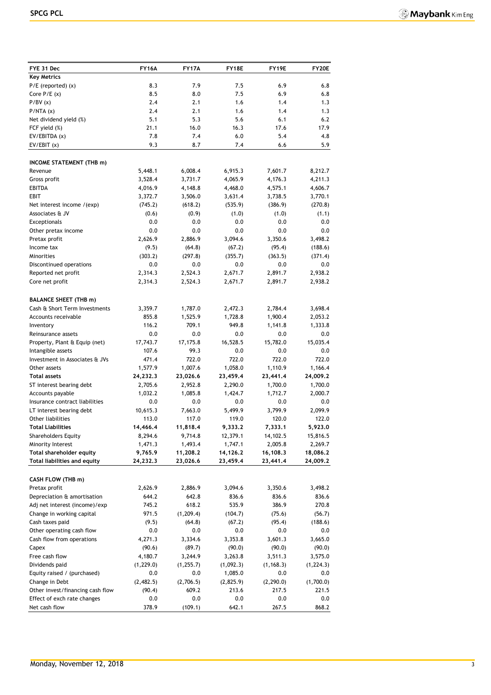| FYE 31 Dec                          | <b>FY16A</b> | <b>FY17A</b> | FY18E     | FY19E      | FY20E      |
|-------------------------------------|--------------|--------------|-----------|------------|------------|
| <b>Key Metrics</b>                  |              |              |           |            |            |
| $P/E$ (reported) $(x)$              | 8.3          | 7.9          | 7.5       | 6.9        | 6.8        |
| Core $P/E(x)$                       | 8.5          | 8.0          | 7.5       | 6.9        | 6.8        |
| P/BV(x)                             | 2.4          | 2.1          | 1.6       | 1.4        | 1.3        |
| P/NTA(x)                            | 2.4          | 2.1          | 1.6       | 1.4        | 1.3        |
| Net dividend yield (%)              | 5.1          | 5.3          | 5.6       | 6.1        | 6.2        |
| FCF yield (%)                       | 21.1         | 16.0         | 16.3      | 17.6       | 17.9       |
| EV/EBITDA (x)                       | 7.8          | 7.4          | 6.0       | 5.4        | 4.8        |
| EV/EBIT(x)                          | 9.3          | 8.7          | 7.4       | 6.6        | 5.9        |
|                                     |              |              |           |            |            |
| INCOME STATEMENT (THB m)            |              |              |           |            |            |
| Revenue                             | 5,448.1      | 6,008.4      | 6,915.3   | 7,601.7    | 8,212.7    |
| Gross profit                        | 3,528.4      | 3,731.7      | 4,065.9   | 4,176.3    | 4,211.3    |
| <b>EBITDA</b>                       | 4,016.9      | 4,148.8      | 4,468.0   | 4,575.1    | 4,606.7    |
| <b>EBIT</b>                         | 3,372.7      | 3,506.0      | 3,631.4   | 3,738.5    | 3,770.1    |
| Net interest income /(exp)          | (745.2)      | (618.2)      | (535.9)   | (386.9)    | (270.8)    |
| Associates & JV                     | (0.6)        | (0.9)        | (1.0)     | (1.0)      | (1.1)      |
| Exceptionals                        | 0.0          | 0.0          | 0.0       | 0.0        | 0.0        |
| Other pretax income                 | 0.0          | 0.0          | 0.0       | 0.0        | 0.0        |
| Pretax profit                       | 2,626.9      | 2,886.9      | 3,094.6   | 3,350.6    | 3,498.2    |
| Income tax                          | (9.5)        | (64.8)       | (67.2)    | (95.4)     | (188.6)    |
| <b>Minorities</b>                   | (303.2)      | (297.8)      | (355.7)   | (363.5)    | (371.4)    |
| Discontinued operations             | 0.0          | 0.0          | 0.0       | 0.0        | 0.0        |
| Reported net profit                 | 2,314.3      | 2,524.3      | 2,671.7   | 2,891.7    | 2,938.2    |
| Core net profit                     | 2,314.3      | 2,524.3      | 2,671.7   | 2,891.7    | 2,938.2    |
|                                     |              |              |           |            |            |
| <b>BALANCE SHEET (THB m)</b>        |              |              |           |            |            |
| Cash & Short Term Investments       | 3,359.7      | 1,787.0      | 2,472.3   | 2,784.4    | 3,698.4    |
| Accounts receivable                 | 855.8        | 1,525.9      | 1,728.8   | 1,900.4    | 2,053.2    |
| Inventory                           | 116.2        | 709.1        | 949.8     | 1,141.8    | 1,333.8    |
| Reinsurance assets                  | 0.0          | 0.0          | 0.0       | 0.0        | 0.0        |
| Property, Plant & Equip (net)       | 17,743.7     | 17,175.8     | 16,528.5  | 15,782.0   | 15,035.4   |
| Intangible assets                   | 107.6        | 99.3         | 0.0       | 0.0        | 0.0        |
| Investment in Associates & JVs      | 471.4        | 722.0        | 722.0     | 722.0      | 722.0      |
| Other assets                        | 1,577.9      | 1,007.6      | 1,058.0   | 1,110.9    | 1,166.4    |
| <b>Total assets</b>                 | 24,232.3     | 23,026.6     | 23,459.4  | 23,441.4   | 24,009.2   |
| ST interest bearing debt            | 2,705.6      | 2,952.8      | 2,290.0   | 1,700.0    | 1,700.0    |
| Accounts payable                    | 1,032.2      | 1,085.8      | 1,424.7   | 1,712.7    | 2,000.7    |
| Insurance contract liabilities      | 0.0          | 0.0          | 0.0       | 0.0        | 0.0        |
| LT interest bearing debt            | 10,615.3     | 7,663.0      | 5,499.9   | 3,799.9    | 2,099.9    |
| Other liabilities                   | 113.0        | 117.0        | 119.0     | 120.0      | 122.0      |
| <b>Total Liabilities</b>            | 14,466.4     | 11,818.4     | 9,333.2   | 7,333.1    | 5,923.0    |
| <b>Shareholders Equity</b>          | 8,294.6      | 9,714.8      | 12,379.1  | 14,102.5   | 15,816.5   |
| Minority Interest                   | 1,471.3      | 1,493.4      | 1,747.1   | 2,005.8    | 2,269.7    |
| <b>Total shareholder equity</b>     | 9,765.9      | 11,208.2     | 14,126.2  | 16,108.3   | 18,086.2   |
| <b>Total liabilities and equity</b> | 24,232.3     | 23,026.6     | 23,459.4  | 23,441.4   | 24,009.2   |
|                                     |              |              |           |            |            |
| CASH FLOW (THB m)                   |              |              |           |            |            |
| Pretax profit                       | 2,626.9      | 2,886.9      | 3,094.6   | 3,350.6    | 3,498.2    |
| Depreciation & amortisation         | 644.2        | 642.8        | 836.6     | 836.6      | 836.6      |
| Adj net interest (income)/exp       | 745.2        | 618.2        | 535.9     | 386.9      | 270.8      |
| Change in working capital           | 971.5        | (1, 209.4)   | (104.7)   | (75.6)     | (56.7)     |
| Cash taxes paid                     | (9.5)        | (64.8)       | (67.2)    | (95.4)     | (188.6)    |
| Other operating cash flow           | $0.0\,$      | 0.0          | 0.0       | 0.0        | 0.0        |
| Cash flow from operations           | 4,271.3      | 3,334.6      | 3,353.8   | 3,601.3    | 3,665.0    |
| Capex                               | (90.6)       | (89.7)       | (90.0)    | (90.0)     | (90.0)     |
| Free cash flow                      | 4,180.7      | 3,244.9      | 3,263.8   | 3,511.3    | 3,575.0    |
| Dividends paid                      | (1, 229.0)   | (1, 255.7)   | (1,092.3) | (1, 168.3) | (1, 224.3) |
| Equity raised / (purchased)         | 0.0          | 0.0          | 1,085.0   | 0.0        | 0.0        |
| Change in Debt                      | (2,482.5)    | (2,706.5)    | (2,825.9) | (2, 290.0) | (1,700.0)  |
| Other invest/financing cash flow    | (90.4)       | 609.2        | 213.6     | 217.5      | 221.5      |
| Effect of exch rate changes         | 0.0          | 0.0          | 0.0       | 0.0        | 0.0        |
| Net cash flow                       | 378.9        | (109.1)      | 642.1     | 267.5      | 868.2      |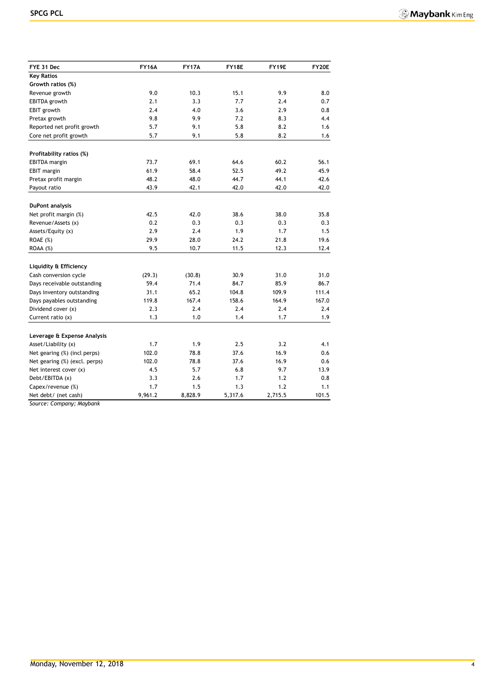| FYE 31 Dec                    | <b>FY16A</b> | <b>FY17A</b> | FY18E   | FY19E   | <b>FY20E</b> |
|-------------------------------|--------------|--------------|---------|---------|--------------|
| <b>Key Ratios</b>             |              |              |         |         |              |
| Growth ratios (%)             |              |              |         |         |              |
| Revenue growth                | 9.0          | 10.3         | 15.1    | 9.9     | 8.0          |
| EBITDA growth                 | 2.1          | 3.3          | 7.7     | 2.4     | 0.7          |
| EBIT growth                   | 2.4          | 4.0          | 3.6     | 2.9     | 0.8          |
| Pretax growth                 | 9.8          | 9.9          | 7.2     | 8.3     | 4.4          |
| Reported net profit growth    | 5.7          | 9.1          | 5.8     | 8.2     | 1.6          |
| Core net profit growth        | 5.7          | 9.1          | 5.8     | 8.2     | 1.6          |
| Profitability ratios (%)      |              |              |         |         |              |
| <b>EBITDA</b> margin          | 73.7         | 69.1         | 64.6    | 60.2    | 56.1         |
| <b>EBIT</b> margin            | 61.9         | 58.4         | 52.5    | 49.2    | 45.9         |
| Pretax profit margin          | 48.2         | 48.0         | 44.7    | 44.1    | 42.6         |
| Payout ratio                  | 43.9         | 42.1         | 42.0    | 42.0    | 42.0         |
|                               |              |              |         |         |              |
| <b>DuPont analysis</b>        |              |              |         |         |              |
| Net profit margin (%)         | 42.5         | 42.0         | 38.6    | 38.0    | 35.8         |
| Revenue/Assets (x)            | 0.2          | 0.3          | 0.3     | 0.3     | 0.3          |
| Assets/Equity (x)             | 2.9          | 2.4          | 1.9     | 1.7     | 1.5          |
| ROAE (%)                      | 29.9         | 28.0         | 24.2    | 21.8    | 19.6         |
| $ROAA (\%)$                   | 9.5          | 10.7         | 11.5    | 12.3    | 12.4         |
| Liquidity & Efficiency        |              |              |         |         |              |
| Cash conversion cycle         | (29.3)       | (30.8)       | 30.9    | 31.0    | 31.0         |
| Days receivable outstanding   | 59.4         | 71.4         | 84.7    | 85.9    | 86.7         |
| Days inventory outstanding    | 31.1         | 65.2         | 104.8   | 109.9   | 111.4        |
| Days payables outstanding     | 119.8        | 167.4        | 158.6   | 164.9   | 167.0        |
| Dividend cover (x)            | 2.3          | 2.4          | 2.4     | 2.4     | 2.4          |
| Current ratio $(x)$           | 1.3          | 1.0          | 1.4     | 1.7     | 1.9          |
| Leverage & Expense Analysis   |              |              |         |         |              |
| Asset/Liability (x)           | 1.7          | 1.9          | 2.5     | 3.2     | 4.1          |
| Net gearing (%) (incl perps)  | 102.0        | 78.8         | 37.6    | 16.9    | 0.6          |
| Net gearing (%) (excl. perps) | 102.0        | 78.8         | 37.6    | 16.9    | 0.6          |
| Net interest cover (x)        | 4.5          | 5.7          | 6.8     | 9.7     | 13.9         |
| Debt/EBITDA (x)               | 3.3          | 2.6          | 1.7     | 1.2     | 0.8          |
| Capex/revenue (%)             | 1.7          | 1.5          | 1.3     | 1.2     | 1.1          |
| Net debt/ (net cash)          | 9,961.2      | 8,828.9      | 5,317.6 | 2,715.5 | 101.5        |

*Source: Company; Maybank*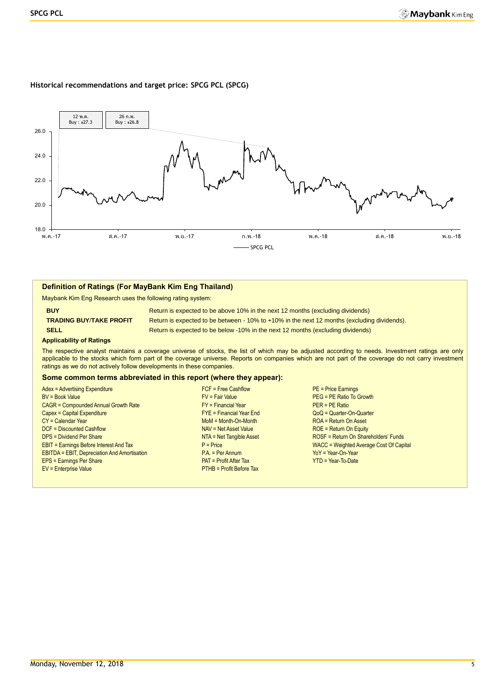#### **Historical recommendations and target price: SPCG PCL (SPCG)**



#### **Definition of Ratings (For MayBank Kim Eng Thailand)**

Maybank Kim Eng Research uses the following rating system:

**BUY Return is expected to be above 10% in the next 12 months (excluding dividends) TRADING BUY**/**TAKE PROFIT** Return is expected to be between - 10% to +10% in the next 12 months (excluding dividends). **SELL Return is expected to be below -10% in the next 12 months (excluding dividends)** 

#### **Applicability of Ratings**

The respective analyst maintains a coverage universe of stocks, the list of which may be adjusted according to needs. Investment ratings are only applicable to the stocks which form part of the coverage universe. Reports on companies which are not part of the coverage do not carry investment ratings as we do not actively follow developments in these companies.

#### **Some common terms abbreviated in this report (where they appear):**

Adex = Advertising Expenditure FCF = Free Cashflow PE = Price Earnings BV = Book Value FV = Fair Value PEG = PE Ratio To Growth  $CAGR = Compounded Annual Growth Rate$ <br>Capex = Capital Expenditure FX = PERatio<br>FYE = Financial Year End FX = PERatio Capex = Capital Expenditure FYE = Financial Year End QoQ = Quarter-On-Quarter CY = Calendar Year Moment CY = Calendar Year Moment CY = Calendar Year Moment ROA = Return On Asset DCF = Discounted Cashflow NAV = Net Asset Value ROE = Return On Equity DPS = Dividend Per Share NTA = Net Tangible Asset ROSF = Return On Shareholders' Funds EBIT = Earnings Before Interest And Tax **P** = Price Price Price WACC = Weighted Average Cost Of Capital<br>
PA = Per Annum PA = Per Annum PA POST Price Price Price Price Price Price Price Price Price Price Price Price<br>
PA = P EBITDA = EBIT, Depreciation And Amortisation entitled and Amortisation P.A. = Per Annum EPS = Earnings Per Share Patter Tax PAT = Profit After Tax Patter Tax YTD = Year-To-Date EV = Enterprise Value PTHB = Profit Before Tax

- 
-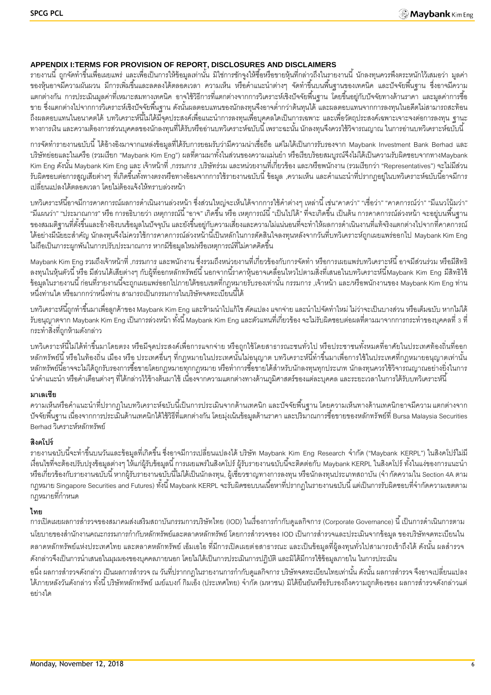# **APPENDIX I:TERMS FOR PROVISION OF REPORT, DISCLOSURES AND DISCLAIMERS**

้ รายงานนี้ ถูกจัดทำขึ้นเพื่อเผยแพร่ และเพื่อเป็นการให้ข้อมูลเท่านั้น มิใช่การชักจูงให้ซื้อหรือขายหุ้นที่กล่าวถึงในรายงานนี้ นักลงทุนควรพึงตระหนักไว้เสมอว่า มูลค่า ี ของหุ้นอาจมีความผันผวน มีการเพิ่มขึ้นและลดลงได้ตลอดเวลา ความเห็น หรือคำแนะนำต่างๆ จัดทำขึ้นบนพื้นฐานของเทคนิค และปัจจัยพื้นฐาน ซึ่งอาจมีความ ้ แตกต่างกัน การประเมินมูลค่าที่เหมาะสมทางเทคนิค อาจใช้วิธีการที่แตกต่างจากการวิเคราะห์เชิงปัจจัยพื้นฐาน โดยขึ้นอยู่กับปัจจัยทางด้านราคา และมูลค่าการซื้อ ่ ขาย ซึ่งแตกต่างไปจากการวิเคราะห์เชิงปัจจัยพื้นฐาน ดังนั้นผลตอบแทนของนักลงทุนจึงอาจต่ำกว่าต้นทุนได้ และผลตอบแทนจากการลงทุนในอดีตไม่สามารถสะท้อน ถึงผลตอบแทนในอนาคตได้ บทวิเคราะห์นี้ไม่ได้มีจุดประสงค์เพื่อแนะนำการลงทุนเพื่อบุคคลใดเป็นการเฉพาะ และเพื่อวัตถุประสงค์เฉพาะเจาะจงต่อการลงทุน ฐานะ ้ทางการเงิน และความต้องการส่วนบุคคลของนักลงทุนที่ได้รับหรืออ่านบทวิเคราะห์ฉบับนี้ เพราะฉะนั้น นักลงทุนจึงควรใช้วิจารณญาณ ในการอ่านบทวิเคราะห์ฉบับนี้

การจัดท ารายงานฉบับนี ้ได้อ้างอิงมาจากแหล่งข้อมูลที่ได้รับการยอมรับว่ามีความน่าเชื่อถือ แต่ไมได้เป็ นการรับรองจาก Maybank Investment Bank Berhad และ บริษัทย่อยและในเครือ (รวมเรียก "Maybank Kim Eng") ผลที่ตามมาทั้งในส่วนของความแม่นยำ หรือเรียบร้อยสมบูรณ์จึงไม่ได้เป็นความรับผิดชอบจากทางMaybank Kim Eng ดังนั้น Maybank Kim Eng และ เจ้าหน้าที่ ,กรรมการ ,บริษัทร่วม และหน่วยงานที่เกี่ยวข้อง และ/หรือพนักงาน (รวมเรียกว่า "Representatives") จะไม่มีส่วน ้ รับผิดชอบต่อการสูญเสียต่างๆ ที่เกิดขึ้นทั้งทางตรงหรือทางอ้อมจากการใช้รายงานฉบับนี้ ข้อมูล ,ความเห็น และคำแนะนำที่ปรากฦอยู่ในบทวิเคราะห์ฉบับนี้อาจมีการ เปลี่ยนแปลงได้ตลอดเวลา โดยไม่ต้องแจ้งให้ทราบล่วงหน้า

้บทวิเคราะห์นี้อาจมีการคาดการณ์ผลการดำเนินงานล่วงหน้า ซึ่งส่วนใหญ่จะเห็นได้จากการใช้คำต่างๆ เหล่านี้ เช่น"คาดว่า" "เชื่อว่า" "คาดการณ์ว่า" "มีแนวโน้มว่า" "มีแผนว่า" "ประมาณการ" หรือ การอธิบายว่า เหตุการณ์นี้ "อาจ" เกิดขึ้น หรือ เหตุการณ์นี้ "เป็นไปได้" ที่จะเกิดขึ้น เป็นต้น การคาดการณ์ล่วงหน้า จะอยู่บนพื้นฐาน ของสมมติฐานที่ตั้งขึ้นและอ้างอิงบนข้อมูลในปัจจุบัน และยังขึ้นอยู่กับความเสี่ยงและความไม่แน่นอนที่จะทำให้ผลการดำเนินงานที่แท้จริงแตกต่างไปจากที่คาดการณ์ ี ได้อย่างมีนัยยะสำคัญ นักลงทุนจึงไม่ควรใช้การคาดการณ์ล่วงหน้านี้เป็นหลักในการตัดสินใจลงทุนหลังจากวันที่บทวิเคราะห์ถูกเผยแพร่ออกไป Maybank Kim Eng ไม่ถือเป็นภาระผูกพันในการปรับประมาณการ หากมีข้อมูลใหม่หรือเหตุการณ์ที่ไม่คาดคิดขึ้น

. Maybank Kim Eng รวมถึงเจ้าหน้าที่ ,กรรมการ และพนักงาน ซึ่งรวมถึงหน่วยงานที่เกี่ยวข้องกับการจัดทำ หรือการเผยแพร่บทวิเคราะห์นี้ อาจมีส่วนร่วม หรือมีสิทธิ ิ ลงทุนในหุ้นตัวนี้ หรือ มีส่วนได้เสียต่างๆ กับผู้ที่ออกหลักทรัพย์นี้ นอกจากนี้ราคาหุ้นอาจเคลื่อนไหวไปตามสิ่งที่เสนอในบทวิเคราะห์นี้Maybank Kim Eng มีสิทธิใช้ -ข้อมูลในรายงานนี้ ก่อนที่รายงานนี้จะถูกเผยแพร่ออกไปภายใต้ขอบเขตที่กฎหมายรับรองเท่านั้น กรรมการ ,เจ้าหน้า และ/หรือพนักงานของ Maybank Kim Eng ท่าน หนึ่งท่านใด หรือมากกว่าหนึ่งท่าน สามารถเป็นกรรมการในบริษัทจดทะเบียนนี้ได้

ี บทวิเคราะห์นี้ถูกทำขึ้นมาเพื่อลูกค้าของ Maybank Kim Eng และห้ามนำไปแก้ไข ดัดแปลง แจกจ่าย และนำไปจัดทำใหม่ ไม่ว่าจะเป็นบางส่วน หรือเต็มฉบับ หากไม่ได้ รับอนุญาตจาก Maybank Kim Eng เป็นการล่วงหน้า ทั้งนี้ Maybank Kim Eng และตัวแทนที่เกี่ยวข้อง จะไม่รับผิดชอบต่อผลที่ตามมาจากการกระทำของบุคคลที่ 3 ที่ กระท าสิ่งที่ถูกห้ามดังกล่าว

บทวิเคราะห์นี้ไม่ได้ทำขึ้นมาโดยตรง หรือมีจุดประสงค์เพื่อการแจกจ่าย หรือถูกใช้โดยสาธารณะชนทั่วไป หรือประชาชนทั้งหมดที่อาศัยในประเทศท้องถิ่นที่ออก ่ หลักทรัพย์นี้ หรือในท้องถิ่น เมือง หรือ ประเทศอื่นๆ ที่กฎหมายในประเทศนั้นไม่อนุญาต บทวิเคราะห์นี้ทำขึ้นมาเพื่อการใช้ในประเทศที่กฎหมายอนุญาตเท่านั้น หลักทรัพย์นี้อาจจะไม่ได้ถูกรับรองการซื้อขายโดยกฎหมายทุกกฎหมาย หรือทำการซื้อขายได้สำหรับนักลงทุนทุกประเภท นักลงทนควรใช้วิจารณญาณอย่างยิ่งในการ นำคำแนะนำ หรือคำเตือนต่างๆ ที่ได้กล่าวไว้ข้างต้นมาใช้ เนื่องจากความแตกต่างทางด้านภูมิศาสตร์ของแต่ละบุคคล และระยะเวลาในการได้รับบทวิเคราะห์นี้

#### **มาเลเซีย**

้ ความเห็นหรือคำแนะนำที่ปรากฏในบทวิเคราะห์ฉบับนี้เป็นการประเมินจากด้านเทคนิก และปัจจัยพื้นฐาน โดยความเห็นทางด้านเทคนิกอาจมีความ แตกต่างจาก -ปัจจัยพื้นฐาน เนื่องจากการประเมินด้านเทคนิกได้ใช้วิธีที่แตกต่างกัน โดยมุ่งเน้นข้อมูลด้านราคา และปริมาณการซื้อขายของหลักทรัพย์ที่ Bursa Malaysia Securities Berhad วิเคราะห์หลักทรัพย์

# **สิงคโปร์**

ิ รายงานฉบับนี้จะทำขึ้นบนวันและข้อมูลที่เกิดขึ้น ซึ่งอาจมีการเปลี่ยนแปลงได้ บริษัท Maybank Kim Eng Research จำกัด ("Maybank KERPL") ในสิงคโปร์ไม่มี เงื่อนไขที่จะต้องปรับปรุงข้อมูลต่างๆ ให้แก่ผู้รับข้อมูลนี้ การเผยแพร่ในสิงคโปร์ ผู้รับรายงานฉบับนี้จะติดต่อกับ Maybank KERPL ในสิงคโปร์ ทั้งในแง่ของการแนะนำ หรือเกี่ยวข้องกับรายงานฉบับนี้ หากผู้รับรายงานฉบับนี้ไม่ได้เป็นนักลงทุน, ผู้เชี่ยวชาญทางการลงทุน หรือนักลงทุนประเภทสถาบัน (จำกัดความใน Section 4A ตาม ึ กฎหมาย Singapore Securities and Futures) ทั้งนี้ Maybank KERPL จะรับผิดชอบบนเนื้อหาที่ปรากฏในรายงานฉบับนี้ แต่เป็นการรับผิดชอบที่จำกัดความเขตตาม ึ กฦหมายที่กำหนด

# **ไทย**

การเปิดเผยผลการสำรวจของสมาคมส่งเสริมสถาบันกรรมการบริษัทไทย (IOD) ในเรื่องการกำกับดูแลกิจการ (Corporate Governance) นี้ เป็นการดำเนินการตาม นโยบายของสำนักงานคณะกรรมการกำกับหลักทรัพย์และตลาดหลักทรัพย์ โดยการสำรวจของ IOD เป็นการสำรวจและประเมินจากข้อมูล ของบริษัทจดทะเบียนใน ้ตลาดหลักทรัพย์แห่งประเทศไทย และตลาดหลักทรัพย์ เอ็มเอไอ ที่มีการเปิดเผยต่อสาธารณะ และเป็นข้อมูลที่ผู้ลงทุนทั่วไปสามารถเข้าถึงได้ ดังนั้น ผลสำรวจ ดังกล่าวจึงเป็นการนำเสนอในมุมมองของบุคคลภายนอก โดยไม่ได้เป็นการประเมินการปฏิบัติ และมิได้มีการใช้ข้อมูลภายใน ในการประเมิน

่ อนึ่ง ผลการสำรวจดังกล่าว เป็นผลการสำรวจ ณ วันที่ปรากกฎในรายงานการกำกับดูแลกิจการ บริษัทจดทะเบียนไทยเท่านั้น ดังนั้น ผลการสำรวจ จึงอาจเปลี่ยนแปลง ได้ภายหลังวันดังกล่าว ทั้งนี้ บริษัทหลักทรัพย์ เมย์แบงก์ กิมเอ็ง (ประเทศไทย) จำกัด (มหาชน) มิได้ยืนยันหรือรับรองถึงความถูกต้องของ ผลการสำรวจดังกล่าวแต่ อย่างใด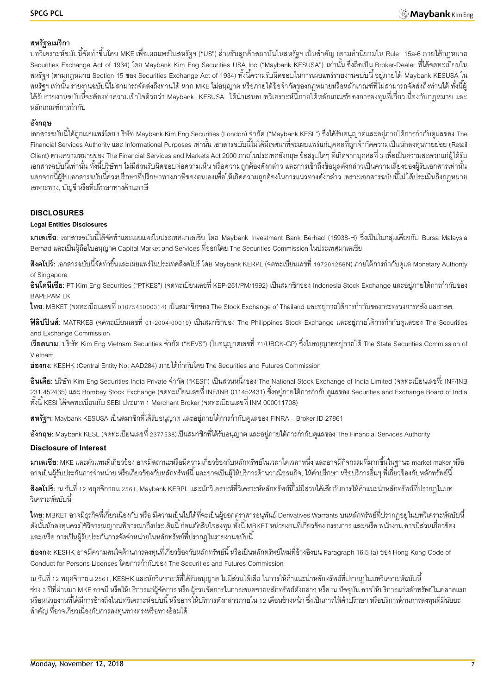# **สหรัฐอเมริกา**

ี บทวิเคราะห์ฉบับนี้จัดทำขึ้นโดย MKE เพื่อเผยแพร่ในสหรัฐฯ ("US") สำหรับลูกค้าสถาบันในสหรัฐฯ เป็นสำคัญ (ตามคำนิยามใน Rule 15a-6 ภายใต้กฎหมาย Securities Exchange Act of 1934) โดย Maybank Kim Eng Securities USA Inc ("Maybank KESUSA") เท่านั้น ซึ่งถือเป็น Broker-Dealer ที่ได้จดทะเบียนใน ี สหรัฐฯ (ตามกฎหมาย Section 15 ของ Securities Exchange Act of 1934) ทั้งนี้ความรับผิดชอบในการเผยแพร่รายงานฉบับนี้ อยู่ภายใต้ Maybank KESUSA ใน ี สหรัฐฯ เท่านั้น รายงานฉบับนี้ไม่สามารถจัดส่งถึงท่านได้ หาก MKE ไม่อนุญาต หรือภายใต้ข้อจำกัดของกฎหมายหรือหลักเกณฑ์ที่ไม่สามารถจัดส่งถึงท่านได้ ทั้งนี้ผู้ ได้รับรายงานฉบับนี้จะต้องทำความเข้าใจด้วยว่า Maybank KESUSA ได้นำเสนอบทวิเคราะห์นี้ภายใต้หลักเกณฑ์ของการลงทุนที่เกี่ยวเนื่องกับกฎหมาย และ หลักเกณฑ์การกำกับ

# **อังกฤษ**

ี เอกสารฉบับนี้ได้ถูกเผยแพร่โดย บริษัท Maybank Kim Eng Securities (London) จำกัด ("Maybank KESL") ซึ่งได้รับอนุญาตและอยู่ภายใต้การกำกับดูแลของ The -Financial Services Authority และ Informational Purposes เท่านั้น เอกสารฉบับนี้ไม่ได้มีเจตนาที่จะเผยแพร่แก่บุคคลที่ถูกจำกัดความเป็นนักลงทุนรายย่อย (Retail Client) ตามความหมายของ The Financial Services and Markets Act 2000 ภายในประเทศอังกฤษ ข้อสรุปใดๆ ที่เกิดจากบุคคลที่ 3 เพื่อเป็นความสะดวกแก่ผู้ได้รับ ้เอกสารฉบับนี้เท่านั้น ทั้งนี้บริษัทฯ ไม่มีส่วนรับผิดชอบต่อความเห็น หรือความถูกต้องดังกล่าว และการเข้าถึงข้อมูลดังกล่าวเป็นความเสี่ยงของผู้รับเอกสารเท่านั้น ้นอกจากนี้ผ้รับเอกสารฉบับนี้ควรปรึกษาที่ปรึกษาทางภาษีของตนเองเพื่อให้เกิดความถูกต้องในการแนวทางดังกล่าว เพราะเอกสารฉบับนี้ไม่ได้ประเมินถึงกฎหมาย เฉพาะทาง, บัญชี หรือที่ปรึกษาทางด้านภาษี

# **DISCLOSURES**

# **Legal Entities Disclosures**

**ิมาเลเซีย**: เอกสารฉบับนี้ได้จัดทำและเผยแพร่ในประเทศมาเลเซีย โดย Maybank Investment Bank Berhad (15938-H) ซึ่งเป็นในกลุ่มเดียวกับ Bursa Malaysia Berhad และเป็ นผู้ถือใบอนุญาต Capital Market and Services ที่ออกโดย The Securities Commission ในประเทศมาเลเซีย

**ี <b>สิงคโปร์**: เอกสารฉบับนี้จัดทำขึ้นและเผยแพร่ในประเทศสิงคโปร์ โดย Maybank KERPL (จดทะเบียนเลขที่ 197201256N) ภายใต้การกำกับดูแล Monetary Authority of Singapore

**้อินโดนีเซีย**: PT Kim Eng Securities ("PTKES") (จดทะเบียนเลขที่ KEP-251/PM/1992) เป็นสมาชิกของ Indonesia Stock Exchange และอย่ภายใต้การกำกับของ BAPEPAM LK

**ไทย**: MBKET (จดทะเบียนเลขที่ 0107545000314) เป็นสมาชิกของ The Stock Exchange of Thailand และอยู่ภายใต้การกำกับของกระทรวงการคลัง และกลต.

**ฟิลิปปินส์**: MATRKES (จดทะเบียนเลขที่ 01-2004-00019) เป็นสมาชิกของ The Philippines Stock Exchange และอยู่ภายใต้การกำกับดูแลของ The Securities and Exchange Commission

**เวียดนาม**: บริษัท Kim Eng Vietnam Securities จำกัด ("KEVS") (ใบอนุญาตเลขที่ 71/UBCK-GP) ซึ่งใบอนุญาตอยู่ภายใต้ The State Securities Commission of Vietnam

ี**ฮ่องกง**: KESHK (Central Entity No: AAD284) ภายใต้กำกับโดย The Securities and Futures Commission

**้อินเดีย**: บริษัท Kim Eng Securities India Private จำกัด ("KESI") เป็นส่วนหนึ่งของ The National Stock Exchange of India Limited (จดทะเบียนเลขที่: INF/INB ่ 231 452435) และ Bombay Stock Exchange (จดทะเบียนเลขที่ INF/INB 011452431) ซึ่งอยู่ภายใต้การกำกับดูแลของ Securities and Exchange Board of India ทั ้งนี ้ KESI ได้จดทะเบียนกับ SEBI ประเภท 1 Merchant Broker (จดทะเบียนเลขที่ INM 000011708)

**ิสหรัฐฯ:** Maybank KESUSA เป็นสมาชิกที่ได้รับอนุญาต และอยู่ภายใต้การกำกับดูแลของ FINRA – Broker ID 27861

**่ <b>อังกฤษ**: Maybank KESL (จดทะเบียนเลขที่ 2377538)เป็นสมาชิกที่ได้รับอนุญาต และอยู่ภายใต้การกำกับดูแลของ The Financial Services Authority

# **Disclosure of Interest**

**มาเลเซีย:** MKE และตัวแทนที่เกี่ยวข้อง อาจมีสถานะหรือมีความเกี่ยวข้องกับหลักทรัพย์ในเวลาใดเวลาหนึ่ง และอาจมีกิจกรรมที่มากขึ ้นในฐานะ market maker หรือ ่ อาจเป็นผู้รับประกันการจำหน่าย หรือเกี่ยวข้องกับหลักทรัพย์นี้ และอาจเป็นผู้ให้บริการด้านวาณิชธนกิจ, ให้คำปรึกษา หรือบริการอื่นๆ ที่เกี่ยวข้องกับหลักทรัพย์นี้

**สิงคโปร์**: ณ วันที่ 12 พฤศจิกายน 2561, Maybank KERPL และนักวิเคราะห์ที่วิเคราะห์หลักทรัพย์นี้ไม่มีส่วนได้เสียกับการให้คำแนะนำหลักทรัพย์ที่ปรากภในบท .<br>วิเคราะห์ล<sub>บับ</sub>นี้

**ไทย**: MBKET อาจมีธุรกิจที่เกี่ยวเนื่องกับ หรือ มีความเป็นไปได้ที่จะเป็นผู้ออกตราสารอนุพันธ์ Derivatives Warrants บนหลักทรัพย์ที่ปรากฏอยู่ในบทวิเคราะห์ฉบับนี้ ดังนั้นนักลงทุนควรใช้วิจารณญาณพิจารณาถึงประเด็นนี้ ก่อนตัดสินใจลงทุน ทั้งนี้ MBKET หน่วยงานที่เกี่ยวข้อง กรรมการ และ/หรือ พนักงาน อาจมีส่วนเกี่ยวข้อง และ/หรือ การเป็นผู้รับประกันการจัดจำหน่ายในหลักทรัพย์ที่ปรากฏในรายงานฉบับนี้

**ฮ่องกง:** KESHK อาจมีความสนใจด้านการลงทุนที่เกี่ยวข้องกับหลักทรัพย์นี้ หรือเป็นหลักทรัพย์ใหม่ที่อ้างอิงบน Paragraph 16.5 (a) ของ Hong Kong Code of Conduct for Persons Licenses โดยการกำกับของ The Securities and Futures Commission

ณ วันที่ 12 พฤศจิกายน 2561, KESHK และนักวิเคราะห์ที่ได้รับอนุญาต ไม่มีส่วนได้เสีย ในการให้คำแนะนำหลักทรัพย์ที่ปรากฏในบทวิเคราะห์ฉบับนี้ ี ช่วง 3 ปีที่ผ่านมา MKE อาจมี หรือให้บริการแก่ผู้จัดการ หรือ ผู้ร่วมจัดการในการเสนอขายหลักทรัพย์ดังกล่าว หรือ ณ ปัจจุบัน อาจให้บริการแก่หลักทรัพย์ในตลาดแรก หรือหน่วยงานที่ได้มีการอ้างถึงในบทวิเคราะห์ฉบับนี้ หรืออาจให้บริการดังกล่าวภายใน 12 เดือนข้างหน้า ซึ่งเป็นการให้คำปรึกษา หรือบริการด้านการลงทุนที่มีนัยยะ ส าคัญ ที่อาจเกี่ยวเนื่องกับการลงทุนทางตรงหรือทางอ้อมได้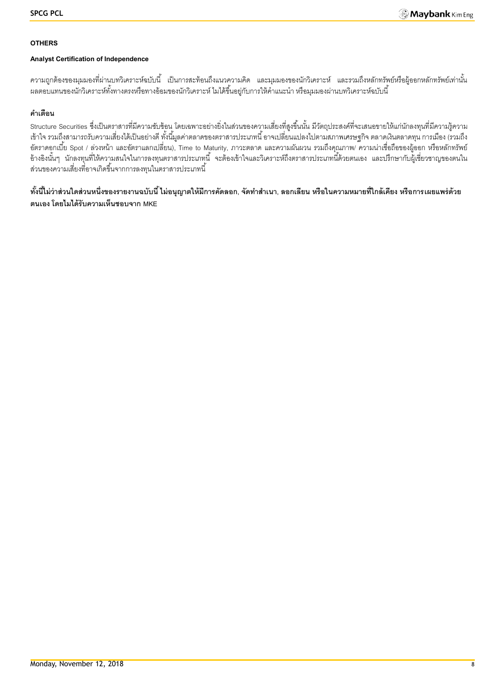## **OTHERS**

# **Analyst Certification of Independence**

้ ความถูกต้องของมุมมองที่ผ่านบทวิเคราะห์ฉบับนี้ เป็นการสะท้อนถึงแนวความคิด และมุมมองของนักวิเคราะห์ และรวมถึงหลักทรัพย์หรือผู้ออกหลักทรัพย์เท่านั้น ้ ผลตอบแทนของนักวิเคราะห์ทั้งทางตรงหรือทางอ้อมของนักวิเคราะห์ ไมได้ขึ้นอยู่กับการให้คำแนะนำ หรือมุมมองผ่านบทวิเคราะห์ฉบับนี้

# **ค าเตือน**

Structure Securities ซึ่งเป็นตราสารที่มีความซับซ้อน โดยเฉพาะอย่างยิ่งในส่วนของความเสี่ยงที่สูงขึ้นนั้น มีวัตถุประสงค์ที่จะเสนอขายให้แก่นักลงทุนที่มีความรู้ความ เข้าใจ รวมถึงสามารถรับความเสี่ยงได้เป็ นอย่างดี ทั ้งนี ้มูลค่าตลาดของตราสารประเภทนี ้ อาจเปลี่ยนแปลงไปตามสภาพเศรษฐกิจ ตลาดเงินตลาดทุน การเมือง (รวมถึง อัตราดอกเบี้ย Spot / ล่วงหน้า และอัตราแลกเปลี่ยน), Time to Maturity, ภาวะตลาด และความผันผวน รวมถึงคุณภาพ/ ความน่าเชื่อถือของผู้ออก หรือหลักทรัพย์ อ้างอิงนั้นๆ นักลงทุนที่ให้ความสนใจในการลงทุนตราสารประเภทนี้ จะต้องเข้าใจและวิเคราะห์ถึงตราสารประเภทนี้ด้วยตนเอง และปรึกษากับผู้เชี่ยวชาญของตนใน ส่วนของความเสี่ยงที่อาจเกิดขึ้นจากการลงทุนในตราสารประเภทนี้

์ ทั้งนี้ไม่ว่าส่วนใดส่วนหนึ่งของรายงานฉบับนี้ ไม่อนุญาตให้มีการคัดลอก, จัดทำสำเนา, ลอกเลียน หรือในความหมายที่ใกล้เคียง หรือการเผยแพร่ด้วย **ตนเอง โดยไมได้รับความเห็นชอบจาก MKE**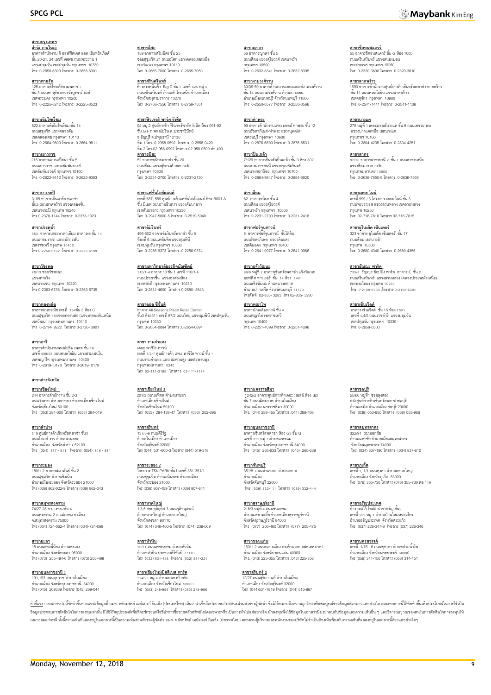#### **สาขากรุงเทพฯ ส านักงานใหญ่** อาคารลำนักงาน ดิ ออฟฟิศเศส แอท เซ็นทรัลเวิลด์<br>ชั้น 20-21, 24 เลขที่ 999/9 ถนนพระราม 1 แขวงปทุมวัน เขตปทุมวัน กรุงเทพฯ 10330 โทร 0-2658-6300 โทรสาร 0-2658-6301

**สาขาพาหุรัด** 125 อาคารดิโอลด์สยามพลาซ่า<br>ชั้น 3 ถนนพาหุรัด แขวงวังบูรพาภิรมย์ เขตพระนคร กรุงเทพฯ 10200 โทร 0-2225-0242 โทรสาร 0-2225-0523

**สาขาเอ็มโพเรี่ยม**<br>622 อาคารดิเอ็มโพเรี่ยม ชั้น 14 ถนนสุขุมวิท แขวงคลองตัน เขตคลองเตย กรุงเทพฯ 10110 โทร 0-2664-9800 โทรสาร 0-2664-9811

<mark>สาขาเยาวราช</mark><br>215 อาคารแกรนด์ไซน่า ชั้น 5 ถนนเยาวราช แขวงสัมพันธวงศ์ เขตสัมพันธวงศ์ กรุงเทพฯ 10100 โทร 0-2622-9412 โทรสาร 0-2622-9383

**สาขาบางกะปิ** 3105 อาคารเอ็นมาร์ค พลาซ่า ชั ้น3 ถนนลาดพร้าว แขวงคลองจั่น เขตบางกะปิกรุงเทพ 10240 โทร.0-2378-1144 โทรสาร. 0-2378-1323

**สาขาประตูน้ำ** —<br>เดอะพาลาเดียม อาคารเอ ชั้น 14 ้ธรร ชาย เนตชนพาลาเดนม ชา<br>ถนนราชปรารภ แขวงมักกะสัน เขตราชเทวี กรุงเทพ 10400 โทร0-2250-6192 โทรสาร 0-2250-6199

**สาขาวัชรพล** 78/13 ซอยวัชรพล2 แขวงท่าแร้ง เขตบางเขน กรุงเทพ 10220 โทร 0-2363-6736 โทรสาร 0-2363-6735

**สาขาทองหล่อ** อาคารอเนกวณิช เลขที่ 154ชั ้น 3 ห้อง C ถนนสุขุมวิท ) 55ซอยทองหล่อ (แขวงคลองตันเหนือ เขตวัฒนา กรุงเทพมหานคร 10110 โทร 0-2714- 9222 โทรสาร 0-2726- 3901

**สาขาอารี** อาคารลำนักงานพหลโยธิน เพลส ชั้น 14<br>เลขที่ 408/58 ถนนพหลโยธิน แขวงสามเสนใน เขตพญาไท กรุงเทพมหานคร 10400 โทร 0-2619- 0178 โทรสาร 0-2619- 0179

**สาขาต่างจังหวัด**

**สาขาเชียงใหม่ 1** 244 อาคารสำนักงาน ชั้น 2-3 ้<br>ถนนวัวลาย ตำบลหายยา อำเภอเมืองเชียงใหม่ จังหวัดเชียงใหม่ 50100 โทร (053) 284-000 โทรสาร (053) 284-019

**สาขาลำปาง** \_\_\_\_\_\_\_\_\_\_<br>319 ศูนย์การค้าเซ็นทรัลพลาซ่า ชั้น3 ถนนไฮเวย์-งาว ตำบลสวนดอก อำเภอเมือง จังหวัดลำปาง 52100 โทร (054) 817- 811 โทรสาร (054) 816- 811

**สาขาระยอง** 180/1-2 อาคารสมาพันธ์ ชั้น 2 ถนนสุขุมวิท ตำบลเชิงเนิน อ าเภอเมืองระยอง จังหวัดระยอง 21000 โทร (038) 862-022-9 โทรสาร (038) 862-043

**สาขาสมุทรสงคราม** 74/27-28 ซ.บางจะเกร็ง 4 ถนนพระราม 2 ต.แม่กลอง อ.เมือง จ.สมุทรสงคราม 75000 โทร (034) 724-062-4 โทรสาร (034)-724-068

**สาขายะลา**<br>18 ถนนสองพี่น้อง ตำบลสะเตง อ าเภอเมือง จังหวัดยะลา 95000 โทร (073) 255-494-6 โทรสาร (073) 255-498

**สาขาอบลราชธานี** 2 191,193 ถนนอุปราช ตำบลในเมือง<br>อำเภอเมือง จังหวัดอุบลราชธานี 34000 โทร (045) 209339 โทรสาร (045) 209-044

<u>สาขาอโศก</u><br>159 อาคารเสริมมิตร ชั้น 25<br>ซอยสุขุมวิท 21 ถนนอโศก แขวงคลองเตยเหนือ เขตวัฒนา กรุงเทพฯ 10110 โทร 0-2665-7000 โทรสาร 0-2665-7050

**สาขาศรีนครินทร์** ห้างสรรพสินค้า Big C ชั้น 1 เลขที่ 425 หมู่ 5<br>ถนนศรีนครินทร์ ตำบลลำโรงเหนือ อำเภอเมือง จังหวัดสมุทรปราการ 10270 โทร 0-2758-7556 โทรสาร 0-2758-7551

**สาขาฟิวเจอร์ พาร์ค รังสิต**<br>94 หมู่.2 ศูนย์การค้า ฟิวเจอร์พาร์ค รังสิต ห้อง 091-92<br>ชั้น G F ถ.พหลโยธิน ต.ประชาธิปัตย์ อ.ธัญบุรีจ.ปทุมธานี 12130 ทีม 1 โทร. 0-2958-0592 โทรสาร. 0-2958-0420 ทีม 2 โทร.02-958-0992 โทรสาร 02-958-0590 ต่อ400 **สาขาธนิยะ**<br>52 อาคารธนิยะพลาซ่า ชั้น 20 ถนนสีลม แขวงสุริยวงศ์ เขตบางรัก กรุงเทพฯ 10500

**สาขาแฟชั่นไอส์แลนด์** เลขที่ 587, 589 ศูนย์การค้าแฟชั่นไอส์แลนด์ ห้อง B001 A<br>ชั้น บีเอฟ ถนนรามอินทรา แขวงคันนายาว เขตคันนายาว กรุงเทพฯ 10230 โทร .0-2947-5800-5 โทรสาร .0-2519-5040

โทร 0-2231-2700 โทรสาร 0-2231-2130

**สาขาอัมรินทร์** 496-502 อาคารอัมรินทร์พลาซ่า ชั้น 8<br>ห้องที่ 6 ถนนเพลินจิต แขวงลุมพินี เขตปทุมวัน กรุงเทพฯ 10330 โทร .0-2256-9373 โทรสาร .0-2256-9374

**สาขามหาวิทยาลัยธุรกิจบัณฑิตย์** 110/1-4 อาคาร 10 ชั ้น 1 เลขที่ 110/1-4 ถนนประชาชื่น แขวงทุ่งสองห้อง เขตหลักสี่ กรุงเทพมหานคร 10210 โทร 0-2831-4600 โทรสาร 0-2580- 3643

**สาขาออล ซีซั่นส์** อาคาร All Seasons Place Retail Center ชั ้น3 ห้อง311 เลขที่87/2 ถนนวิทยุแขวงลุมพินีเขตปทุมวัน กรุงเทพ 10330 โทร. 0-2654-0084 โทรสาร .0-2654-0094

**สาขา รามค าแหง** เดอะ พาซิโอ ทาวน์ เลขที่ 7/2-7 ศูนย์การค้า เดอะ พาซิโอ ทาวน์ ชั้น 1<br>ถนนรามคำแหง แขวงสะพานสูง เขตสะพานสูง กรุงเทพมหานคร 10240 โทร 02-111-3185 โทรสาร 02-111-3184

**สาขาเชียงใหม่ 2** 201/3 ถนนมหิดล ตำบลหายยา อ าเภอเมืองเชียงใหม่ จังหวัดเชียงใหม่ 50100 โทร (053) 284-138-47 โทรสาร (053) 202-695

**สาขาสุรินทร์** 137/5-6 ถนนศิริรัฐ<br>ตำบลในเมือง อำเภอเมือง จังหวัดสุรินทร์ 32000 โทร (044) 531-600-3 โทรสาร (044) 519-378

**สาขาระยอง 2** โครงการ TSK PARK ชั ้น1 เลขที่ 351-351/1 ถนนสุขุมวิท ตำบลเนินพระ อำเภอเมือง<br>จังหวัดระยอง 21000 โทร (038) 807-459 โทรสาร (038) 807-841

**สาขาหาดใหญ่**  1,3,5 ซอยจุติอุทิศ 3 ถนนจุติอนุสรณ์<br>ตำบลหาดใหญ่ อำเภอหาดใหญ่ จังหวัดสงขลา 90110 โทร (074) 346-400-5 โทรสาร (074) 239-509

**สาขาหัวหิน** <u>-12 กรรกะ</u><br>6/11 ถนนเพชรเกษม ตำบลหัวหิน อ าเภอหัวหิน ประจวบคีรีขันธ์ 77110 โทร (032) 531-193 โทรสาร (032) 531-221

**สาขาเชียงใหม่บิสสิเนส พาร์ค** 114/25 หมู่ 4 ตำบลหนองป่าครั่ง<br>อำเภอเมือง จังหวัดเชียงใหม่ 50000 โทร (053) 248-995 โทรสาร (053) 248-996

<mark>สาขาญาดา</mark><br>56 อาคารญาดา ชั้น 5 ถนนสีลม แขวงสุริยวงศ์ เขตบางรัก กรุงเทพฯ 10500 โทร 0-2632-8341 โทรสาร 0-2632-8395

**สาขางามวงศ์วาน** 30/39-50 อาคารสำนักงานเดอะมอลล์งามวงศ์วาน<br>ขั้น 14 ถนนงามวงศ์วาน ตำบลบางเขน อ าเภอเมืองนนทบุรี จังหวัดนนทบุรี 11000 โทร 0-2550-0577 โทรสาร 0-2550-0566

**สาขาท่าพระ**<br>99 อาคารลำนักงานเดอะมอลล์ ท่าพระ ชั้น 12 ถนนรัชดาภิเษก-ท่าพระ แขวงบุคคโล เขตธนบุรี กรุงเทพฯ 10600 โทร 0-2876-6500 โทรสาร 0-2876-6531

**สาขาปิ่ นเกล้า** ี่<mark>น 1.5 1.5 แถน 1.</mark><br>7/129 อาคารเซ็นทรัลปิ่นเกล้า ชั้น 3 ห้อง 302 ถนนบรมราชชนนี แขวงอรุณอัมรินทร์ เขตบางกอกน้อย กรุงเทพฯ 10700 โทร 0-2884-9847 โทรสาร 0-2884-6920

**สาขาสีลม** 62 อาคารธนิยะ ชั ้น 4 ถนนสีลม แขวงสุริยวงศ์ เขตบางรัก กรุงเทพฯ 10500 โทร 0-2231-2700 โทรสาร 0-2231-2418

**สาขาฟอร์จนู ทาวน์** 5 อาคารฟอร์จูนทาวน์ ชั้นใต้ดิน<br>ถนนรัชดาภิเษก แขวงดินแดง เขตดินแดง กรุงเทพฯ 10400 โทร 0-2641-0977 โทรสาร 0-2641-0966

**สาขาแจ้งวัฒนะ** 99/9 หมู่ที่2อาคารเซ็นทรัลพลาซ่า แจ้งวัฒนะ ออฟฟิศ ทาวเวอร์ ชั้น 14 ห้อง 1401 ถนนแจ้งวัฒนะ ตำบลบางตลาด อ าเภอปากเกร็ด จังหวัดนนทบุรี 11120 โทรศัพท์ 02-835- 3283 โทร 02-835- 3280

**สาขาพญาไท** \_\_\_\_\_\_\_\_\_\_\_\_\_\_<br>ดาคารโกลเด้นทาวน์ ชั้น 4 ถนนพญาไท เขตราชเทวี กรุงเทพ 10400 โทร. 0-2251-4099 โทรสาร .0-2251-4098

**สาขานครราชสีมา** ี 1242/2 อาคารศูนย์การค้าเดอะ มอลล์ ห้อง เอ3<br>ชั้น 7 ถนนมิตรภาพ ตำบลในเมือง อ าเภอเมือง นครราชสีมา 30000 โทร. (044) 288-455 โทรสาร) .044) 288-466

**สาขาอุบลราชธานี** อาคารเซ็นทรัลพลาซ่า ห้อง G3 ชั ้น G เลขที่ 311 หม่ 7 ตำบลแจระแม อ าเภอเมือง จังหวัดอุบลราชธานี 34000 โทร (045) 265-633 โทรสาร (045) 265-639

**สาขาจันทบุรี** 351/8 ถนนท่าแฉลบ ตำบลตลาด อ าเภอเมือง จังหวัดจันทบุรี 22000 โทร (039) 332-111 โทรสาร (039) 332-444

**สาขาสุราษฏร์ธานี** 216/3 หมู่ที่ 4 ถนนชนเกษม<br>ตำบลมะขามเตี๋ย อำเภอเมืองสุราษฎร์ธานี จังหวัดสราษภร์ธานี 84000 โทร (077) 205-460 โทรสาร (077) 205-475

**สาขาขอนแก่น** 163/1-2 ถนนกลางเมือง ตรงข้ามตลาดสดเทศบาล1 อ าเภอเมืองจังหวัด ขอนแก่น 40000 โทร. (043) 225-355 โทรสาร) .043) 225-356

**สาขาสุรินทร์ 2** 12/27 ถนนสุริยกานต์ ตำบลในเมือง<br>อำเภอเมือง จังหวัดสุรินทร์ 32000 โทร (044)531-1819 โทรสาร (044) 513-887

**สาขาชีคอนสแควร์**<br>55 อาคารซีคอนสแควร์ ชั้น G ห้อง 1005<br>ถนนศรีนครินทร์ แขวงหนองบอน เขตประเวศ กรุงเทพฯ 10260 โทร 0-2320-3600 โทรสาร 0-2320-3610

**สาขาลาดพร้าว** 1693 อาคารลำนักงานศูนย์การค้าเซ็นทรัลพลาซ่า ลาดพร้าว<br>ขั้น 11 ถนนพหลโยธิน แขวงลาดพร้าว เขตจตุจักร กรุงเทพฯ 10900 โทร 0-2541-1411 โทรสาร 0-2541-1108

**สาขาบางแค**<br>275 หมู่ที่ 1 เดอะมอลล์บางแค ชั้น 8 ถนนเพชรเกษม แขวงบางแคเหนือ เขตบางแค กรุงเทพฯ 10160 โทร 0-2804-4235 โทรสาร 0-2804-4251

**สาขาสาทร** <u>ี่มายามากะ</u><br>92/10 อาคารสาธรธานี 2 ชั้น 7 ถนนสาทรเหนือ แขวงสีลม เขตบางรัก กรุงเทพมหานคร 10500 โทร .0-2636-7550-5 โทรสาร .0-2636-7565

**สาขาเดอะ ไนน์** เลขที่ 999 / 3 โครงการ เดอะ ไนน์ ชั้น 3 ถนนพระราม 9 แขวงสวนหลวง เขตสวนหลวง กรุงเทพ 10250 โทร .02-716-7816 โทรสาร 02-716-7815

**สาขายูไนเต็ด เซ็นเตอร์** 323 อาคาร ยูไนเต็ด เซ็นเตอร์ ชั้น 17<br>ถนนสีลม เขตบางรัก กรุงเทพ 10500 โทร 0-2680-4340 โทรสาร 0-2680-4355

**สาขาธัญญ<u>ะ พาร์ค</u>**<br>735/5 ธัญญะ ช็อปปิ้ง พาร์ค อาคาร E ชั้น 2 ถนนศรีนครินทร์ แขวงสวนหลวง (คลองประเวศฝั่งเหนือ) เขตพระโขนง กรุงเทพ 10260 โทร. 0-2108-6300 ,โทรสาร 0-2108-6301

ี<u>สาขาเซ็นเวิลด์</u><br>อาคาร เซ็นเวิลด์ ชั้น 15 ห้อง 1501 เลขที่ 4,4/5 ถนนราชด าริ แขวงปทุมวัน เขตปทุมวัน กรุงเทพฯ 10330 โทร 0-2658-6300

**สาขาชลบุรี**  55/60 หมู่ที่1 ซอยลุงสอง หลังศูนย์การค้าเซ็นทรัลพลาซ่าชลบุรี ตำบลเสม็ด อำเภอเมือง ชลบุรี 20000 โทร (038) 053-950 โทรสาร (038) 053-966

**สาขาสมุทรสาคร** 322/91 ถนนเอกชัย<br>ตำบลมหาชัย อำเภอเมืองสมุทรสาคร จังหวัดสมุทรสาคร 74000 โทร (034) 837-190 โทรสาร (034) 837-610

**สาขาภูเก็ต** ี เลขที่ 1, 1/1 ถนนท่งคา ตำบลตลาดใหญ่ อำเภอเมือง จังหวัดภูเก็ต 83000<br>โทร (076) 355-730 โทรสาร (076) 355-730 ต่อ 119

**สาขาอรัญประเทศ** ห้าง เทสโก้ โลตัส สาขาอรัญ ชั้น2<br>เลขที่ 559 หมู่ 1 ตำบลบ้านใหม่หนองไทร อ าเภออรัญประเทศ จังหวัดสระแก้ว โทร (037) 226-347-8 โทรสาร (037) 226-346

**สาขานครสวรรค์**<br>เลขที่ 1/15-16 ถนนสุชาดา ตำบลปากน้ำโท อ าเภอเมือง จังหวัดนครสวรรค์ 60000 โทร (056) 314-150 โทรสาร (056) 314-151

<u>คำขึ้แจ</u>ง : เอกสารณับนี้จัดทำขึ้นจากแหล่งข้อมูลที่ บมจ. หลักทรัพย์ แข่แมกก์ กิแอ็ง (ประเทศไทย) เห็นว่าน่าเชื่อถือประกอบกับทัศนะส่วมตัวของผู้จัดทำ ซึ่งมิได้หมายถึงความถูกต้องหรือสมบูรณ์ของข้อมูลดังกล่าวแต่อย่างใด และเอกสา ข้อมูลประกอบการตัดสินใจในการลงทุนท่านั้น มิได้มีวัตถุประสงค์เพื่อที่จะขักชามที่ขอข้าการซื้อขายหลักทัพย์ไดโดยเฉพาะเรือเป็นการทั่วไปแต่อย่างใด นักลงทุนพึงใช้ข้อมูลในเอกสารนี้ประกอบกับข้อมูลและความเห็นอื่น ๆ และวิจารณญาณของต เหมาะสมแก่กรณีทั้งนี้ความเห็นที่แสดงอยในเอกสารนี้เป็นความเห็นส่วนคิวของรู้จัดทำ บมจ. หลักทัพย์ แย่แบงก์ กินเอ้ง (ประเทศไทย) ตลอดจนผู้บริหาและพนักงานของบริษัทไม่จำเป็นต้องกันพ้องกับความเห็นที่แสดงอยู่ในเอกสารนี้ค้วยแต่อย่าง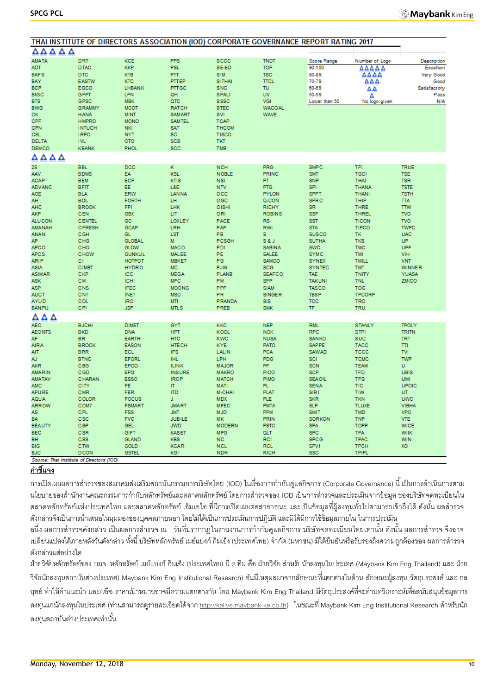| <b>AMATA</b><br><b>DRT</b><br><b>KCE</b><br><b>PPS</b><br><b>SCCC</b><br><b>TNDT</b><br>Score Range<br>Number of Logo<br><b>Description</b><br><b>KKP</b><br><b>PSL</b><br>SE-ED<br><b>TOP</b><br><b>DTAC</b><br>90-100<br><b>Excellent</b><br>aot<br>ΔΔΔΔΔ<br><b>DTC</b><br><b>KTB</b><br><b>PTT</b><br><b>SIM</b><br><b>TSC</b><br>80-89<br>ΔΔΔΔ<br>Very Good<br><b>BAFS</b><br>PTTEP<br><b>SITHAI</b><br>BAY<br><b>EASTW</b><br>KTC<br><b>TTCL</b><br>70-79<br>ΔΔΔ<br>Good<br><b>BCP</b><br>EGCO<br><b>LHBANK</b><br><b>PTTGC</b><br><b>SNC</b><br>TU<br>60-69<br>Satisfactory<br>ΔΔ<br><b>UV</b><br><b>BIGC</b><br><b>GFPT</b><br><b>LPN</b><br>QH<br><b>SPALI</b><br>50-59<br>Pass<br>Δ<br>VGI<br><b>BTS</b><br>GPSC<br><b>MBK</b><br>QTC<br><b>SSSC</b><br>N/A<br>Lower than 50<br>No logo given<br><b>MCOT</b><br><b>RATCH</b><br><b>STEC</b><br><b>BWG</b><br><b>GRAMMY</b><br><b>WACOAL</b><br>CK.<br><b>HANA</b><br><b>MINT</b><br><b>SAMART</b><br><b>SVI</b><br><b>WAVE</b><br>CPF<br><b>HMPRO</b><br><b>MONO</b><br><b>SAMTEL</b><br><b>TCAP</b><br><b>CPN</b><br>SAT<br><b>INTUCH</b><br><b>NKI</b><br><b>THCOM</b><br><b>CSL</b><br><b>IRPC</b><br><b>SC</b><br>TISCO<br><b>NYT</b><br><b>SCB</b><br><b>DELTA</b><br><b>IVL</b><br><b>OTO</b><br><b>TKT</b><br>SCC<br>TMB<br><b>DEMCO</b><br><b>KBANK</b><br><b>PHOL</b><br>AΔAΔ<br>DCC<br>ĸ<br>2S<br><b>BBL</b><br><b>NCH</b><br><b>PRG</b><br><b>SMPC</b><br>TFI<br><b>TRUE</b><br><b>AAV</b><br><b>BDMS</b><br>EA<br><b>KSL</b><br><b>NOBLE</b><br><b>PRINC</b><br><b>SMT</b><br>TGCI<br><b>TSE</b><br>ECF<br>KTIS<br><b>SNP</b><br><b>THAI</b><br><b>ACAP</b><br><b>BEM</b><br><b>NSI</b><br>PT.<br><b>TSR</b><br><b>BFIT</b><br>EE<br>L&E<br><b>NTV</b><br><b>PTG</b><br><b>SPI</b><br><b>ADVANC</b><br><b>THANA</b><br><b>TSTE</b><br><b>AGE</b><br><b>ERW</b><br><b>LANNA</b><br>$_{\rm occ}$<br><b>PYLON</b><br><b>SPPT</b><br><b>BLA</b><br><b>THANI</b><br><b>TSTH</b><br>AH<br><b>BOL</b><br><b>FORTH</b><br>LH<br>OGC<br>Q-CON<br><b>SPRC</b><br>THIP<br><b>TTA</b><br><b>AHC</b><br><b>BROOK</b><br><b>FPI</b><br>LHK<br>OISHI<br><b>RICHY</b><br><b>SR</b><br><b>THRE</b><br><b>TTW</b><br><b>AKP</b><br>CEN<br><b>GBX</b><br>LIT<br>ORI<br><b>SSF</b><br><b>TVD</b><br><b>ROBINS</b><br><b>THREL</b><br>GC.<br><b>SST</b><br><b>TVO</b><br><b>ALUCON</b><br><b>CENTEL</b><br>LOXLEY<br>PACE<br><b>RS</b><br><b>TICON</b><br>GCAP<br><b>RWI</b><br><b>CFRESH</b><br>LRH<br>PAP<br><b>STA</b><br>TIPCO<br><b>TWPC</b><br><b>AMANAH</b><br>CGH<br><b>GL</b><br><b>LST</b><br>PB<br>s<br><b>SUSCO</b><br>TK<br><b>UAC</b><br><b>ANAN</b><br>AP.<br>CHG<br><b>GLOBAL</b><br>M<br>PCSGH<br><b>S&amp;J</b><br><b>SUTHA</b><br><b>UP</b><br><b>TKS</b><br>UPF<br>CHO<br><b>GLOW</b><br><b>MACO</b><br>PDI<br><b>SWC</b><br><b>TMC</b><br><b>APCO</b><br><b>SABINA</b><br>PE<br><b>APCS</b><br>CHOW<br><b>GUNKUL</b><br><b>MALEE</b><br><b>SALEE</b><br><b>SYMC</b><br>TMI<br>VIH<br><b>ARIP</b><br>СI<br><b>HOTPOT</b><br><b>MBKET</b><br>PG<br><b>SAMCO</b><br><b>SYNEX</b><br><b>TMILL</b><br><b>VNT</b><br><b>CIMBT</b><br><b>HYDRO</b><br><b>MC</b><br><b>PJW</b><br><b>SCG</b><br><b>SYNTEC</b><br><b>TMT</b><br><b>WINNER</b><br><b>ASIA</b><br>CKP<br>ICC<br><b>MEGA</b><br><b>PLANB</b><br><b>SEAFCO</b><br><b>TNITY</b><br><b>ASIMAR</b><br><b>TAE</b><br><b>YUASA</b><br>PM<br><b>SFP</b><br><b>ASK</b><br><b>CM</b><br><b>ICHI</b><br><b>MFC</b><br><b>TAKUNI</b><br><b>TNL</b><br>ZMICO<br>PPP<br><b>ASP</b><br>CNS<br><b>IFEC</b><br><b>MOONG</b><br><b>SIAM</b><br><b>TASCO</b><br><b>TOG</b><br><b>AUCT</b><br>CNT<br><b>INET</b><br><b>MSC</b><br><b>PR</b><br><b>SINGER</b><br><b>TBSP</b><br><b>TPCORP</b><br>COL<br><b>IRC</b><br><b>MTI</b><br>PRANDA<br><b>TCC</b><br><b>TRC</b><br><b>AYUD</b><br><b>SIS</b><br><b>BANPU</b><br>CPI<br><b>JSP</b><br><b>MTLS</b><br>PREB<br><b>SMK</b><br>TF<br><b>TRU</b><br>ឹ∆∆<br>AEC.<br><b>BJCHI</b><br><b>DIMET</b><br>GYT<br><b>KKC</b><br><b>NEP</b><br><b>RML</b><br><b>STANLY</b><br><b>TPOLY</b><br><b>HPT</b><br><b>RPC</b><br><b>AEONTS</b><br><b>BKD</b><br><b>DNA</b><br><b>KOOL</b><br><b>NOK</b><br><b>STPI</b><br><b>TRITN</b><br>AF.<br><b>BR</b><br><b>EARTH</b><br><b>HTC</b><br><b>KWC</b><br><b>SUC</b><br><b>NUSA</b><br><b>SANKO</b><br><b>TRT</b><br><b>AIRA</b><br><b>BROCK</b><br><b>EASON</b><br><b>HTECH</b><br><b>KYE</b><br>PATO<br><b>SAPPE</b><br><b>TACC</b><br>$ \mathsf{T}  $<br><b>IFS</b><br><b>PCA</b><br><b>TVI</b><br><b>AIT</b><br><b>BRR</b><br>ECL<br>LALIN<br><b>SAWAD</b><br>TCCC<br>AJ.<br><b>IHL</b><br><b>LPH</b><br><b>BTNC</b><br><b>EFORL</b><br><b>PDG</b><br>SCI<br><b>TCMC</b><br><b>TWP</b><br><b>AKR</b><br>CBG<br>EPCO<br><b>ILINK</b><br><b>MAJOR</b><br>PF.<br><b>SCN</b><br><b>TEAM</b><br>U<br>CGD<br>PICO<br><b>SCP</b><br><b>UBIS</b><br><b>AMARIN</b><br><b>EPG</b><br><b>INSURE</b><br><b>MAKRO</b><br><b>TFD</b><br>CHARAN<br><b>ESSO</b><br><b>IRCP</b><br><b>MATCH</b><br><b>PIMO</b><br><b>SEAOIL</b><br><b>TFG</b><br><b>UMI</b><br><b>AMATAV</b><br> T <br>PL.<br>UPOIC<br>AMC<br>CITY<br>FE<br><b>MATI</b><br><b>SENA</b><br>TIC<br><b>ITD</b><br><b>SIRT</b><br><b>TIW</b><br><b>APURE</b><br>CMR<br><b>FER</b><br><b>M-CHAI</b><br><b>PLAT</b><br>UT.<br>COLOR<br><b>FOCUS</b><br>J<br><b>PLE</b><br><b>SKR</b><br><b>TKN</b><br><b>UWC</b><br><b>AQUA</b><br><b>MDX</b><br><b>ARROW</b><br>COM7<br><b>FSMART</b><br><b>JMART</b><br><b>MFEC</b><br><b>PMTA</b><br><b>SLP</b><br><b>TLUXE</b><br><b>VIBHA</b><br><b>AS</b><br>CPL<br><b>FSS</b><br><b>MJD</b><br><b>PPM</b><br><b>SMIT</b><br><b>TMD</b><br><b>VPO</b><br><b>JMT</b><br><b>BA</b><br><b>FVC</b><br><b>TNP</b><br>CSC<br><b>JUBILE</b><br><b>MK</b><br><b>PRIN</b><br><b>SORKON</b><br><b>VTE</b><br><b>BEAUTY</b><br>CSP<br><b>JWD</b><br><b>SPA</b><br>TOPP<br><b>GEL</b><br><b>MODERN</b><br><b>PSTC</b><br><b>WICE</b><br><b>BEC</b><br>CSR<br><b>MPG</b><br><b>SPC</b><br>GIFT<br><b>KASET</b><br>QLT<br><b>TPA</b><br><b>WIIK</b><br>BH<br>CSS<br><b>GLAND</b><br><b>NC</b><br><b>RCI</b><br><b>SPCG</b><br><b>TPAC</b><br>WIN<br><b>KBS</b><br><b>BIG</b><br>CTW<br>GOLD<br><b>KCAR</b><br><b>NCL</b><br><b>RCL</b><br><b>SPV1</b><br><b>TPCH</b><br>XO<br><b>NDR</b><br><b>RICH</b><br><b>BJC</b><br><b>DCON</b><br><b>GSTEL</b><br>KGI<br><b>SSC</b><br><b>TPIPL</b><br>Source: Thai Institute of Directors (IOD) |       | THAI INSTITUTE OF DIRECTORS ASSOCIATION (IOD) CORPORATE GOVERNANCE REPORT RATING 2017 |  |  |  |  |
|---------------------------------------------------------------------------------------------------------------------------------------------------------------------------------------------------------------------------------------------------------------------------------------------------------------------------------------------------------------------------------------------------------------------------------------------------------------------------------------------------------------------------------------------------------------------------------------------------------------------------------------------------------------------------------------------------------------------------------------------------------------------------------------------------------------------------------------------------------------------------------------------------------------------------------------------------------------------------------------------------------------------------------------------------------------------------------------------------------------------------------------------------------------------------------------------------------------------------------------------------------------------------------------------------------------------------------------------------------------------------------------------------------------------------------------------------------------------------------------------------------------------------------------------------------------------------------------------------------------------------------------------------------------------------------------------------------------------------------------------------------------------------------------------------------------------------------------------------------------------------------------------------------------------------------------------------------------------------------------------------------------------------------------------------------------------------------------------------------------------------------------------------------------------------------------------------------------------------------------------------------------------------------------------------------------------------------------------------------------------------------------------------------------------------------------------------------------------------------------------------------------------------------------------------------------------------------------------------------------------------------------------------------------------------------------------------------------------------------------------------------------------------------------------------------------------------------------------------------------------------------------------------------------------------------------------------------------------------------------------------------------------------------------------------------------------------------------------------------------------------------------------------------------------------------------------------------------------------------------------------------------------------------------------------------------------------------------------------------------------------------------------------------------------------------------------------------------------------------------------------------------------------------------------------------------------------------------------------------------------------------------------------------------------------------------------------------------------------------------------------------------------------------------------------------------------------------------------------------------------------------------------------------------------------------------------------------------------------------------------------------------------------------------------------------------------------------------------------------------------------------------------------------------------------------------------------------------------------------------------------------------------------------------------------------------------------------------------------------------------------------------------------------------------------------------------------------------------------------------------------------------------------------------------------------------------------------------------------------------------------------------------------------------------------------------------------------------------------------------------------------------------------------------------------------------------------------------------------------------------------------------------------------------------------------------------------------------------------------------------------------------------------------------------------------------------------------------------------------------------------------------------------------------------------------------------------------------------------------------------------------------------------------------------------------------------------------------------------------------------------------------------------------------------------------------------------------------------------------------------------------------------------------------------------------------------------------------------------------------------------------------------------------------------------------------------------------------------------------------------------------------------------------------------------------------------------------------------------------------------------------------------------------------------------------------------------------------------------------------------------------------------------------------------------------------------------------------------------------------------------------------------------------------------------------------------------------------------------------------------------------------------------------------------------------------------------------------------------------------------------------------------------|-------|---------------------------------------------------------------------------------------|--|--|--|--|
|                                                                                                                                                                                                                                                                                                                                                                                                                                                                                                                                                                                                                                                                                                                                                                                                                                                                                                                                                                                                                                                                                                                                                                                                                                                                                                                                                                                                                                                                                                                                                                                                                                                                                                                                                                                                                                                                                                                                                                                                                                                                                                                                                                                                                                                                                                                                                                                                                                                                                                                                                                                                                                                                                                                                                                                                                                                                                                                                                                                                                                                                                                                                                                                                                                                                                                                                                                                                                                                                                                                                                                                                                                                                                                                                                                                                                                                                                                                                                                                                                                                                                                                                                                                                                                                                                                                                                                                                                                                                                                                                                                                                                                                                                                                                                                                                                                                                                                                                                                                                                                                                                                                                                                                                                                                                                                                                                                                                                                                                                                                                                                                                                                                                                                                                                                                                                                                                                                                                                                                                                                                                                                                                                                                                                                                                                                                                                                                                   | AAAAA |                                                                                       |  |  |  |  |
|                                                                                                                                                                                                                                                                                                                                                                                                                                                                                                                                                                                                                                                                                                                                                                                                                                                                                                                                                                                                                                                                                                                                                                                                                                                                                                                                                                                                                                                                                                                                                                                                                                                                                                                                                                                                                                                                                                                                                                                                                                                                                                                                                                                                                                                                                                                                                                                                                                                                                                                                                                                                                                                                                                                                                                                                                                                                                                                                                                                                                                                                                                                                                                                                                                                                                                                                                                                                                                                                                                                                                                                                                                                                                                                                                                                                                                                                                                                                                                                                                                                                                                                                                                                                                                                                                                                                                                                                                                                                                                                                                                                                                                                                                                                                                                                                                                                                                                                                                                                                                                                                                                                                                                                                                                                                                                                                                                                                                                                                                                                                                                                                                                                                                                                                                                                                                                                                                                                                                                                                                                                                                                                                                                                                                                                                                                                                                                                                   |       |                                                                                       |  |  |  |  |
|                                                                                                                                                                                                                                                                                                                                                                                                                                                                                                                                                                                                                                                                                                                                                                                                                                                                                                                                                                                                                                                                                                                                                                                                                                                                                                                                                                                                                                                                                                                                                                                                                                                                                                                                                                                                                                                                                                                                                                                                                                                                                                                                                                                                                                                                                                                                                                                                                                                                                                                                                                                                                                                                                                                                                                                                                                                                                                                                                                                                                                                                                                                                                                                                                                                                                                                                                                                                                                                                                                                                                                                                                                                                                                                                                                                                                                                                                                                                                                                                                                                                                                                                                                                                                                                                                                                                                                                                                                                                                                                                                                                                                                                                                                                                                                                                                                                                                                                                                                                                                                                                                                                                                                                                                                                                                                                                                                                                                                                                                                                                                                                                                                                                                                                                                                                                                                                                                                                                                                                                                                                                                                                                                                                                                                                                                                                                                                                                   |       |                                                                                       |  |  |  |  |
|                                                                                                                                                                                                                                                                                                                                                                                                                                                                                                                                                                                                                                                                                                                                                                                                                                                                                                                                                                                                                                                                                                                                                                                                                                                                                                                                                                                                                                                                                                                                                                                                                                                                                                                                                                                                                                                                                                                                                                                                                                                                                                                                                                                                                                                                                                                                                                                                                                                                                                                                                                                                                                                                                                                                                                                                                                                                                                                                                                                                                                                                                                                                                                                                                                                                                                                                                                                                                                                                                                                                                                                                                                                                                                                                                                                                                                                                                                                                                                                                                                                                                                                                                                                                                                                                                                                                                                                                                                                                                                                                                                                                                                                                                                                                                                                                                                                                                                                                                                                                                                                                                                                                                                                                                                                                                                                                                                                                                                                                                                                                                                                                                                                                                                                                                                                                                                                                                                                                                                                                                                                                                                                                                                                                                                                                                                                                                                                                   |       |                                                                                       |  |  |  |  |
|                                                                                                                                                                                                                                                                                                                                                                                                                                                                                                                                                                                                                                                                                                                                                                                                                                                                                                                                                                                                                                                                                                                                                                                                                                                                                                                                                                                                                                                                                                                                                                                                                                                                                                                                                                                                                                                                                                                                                                                                                                                                                                                                                                                                                                                                                                                                                                                                                                                                                                                                                                                                                                                                                                                                                                                                                                                                                                                                                                                                                                                                                                                                                                                                                                                                                                                                                                                                                                                                                                                                                                                                                                                                                                                                                                                                                                                                                                                                                                                                                                                                                                                                                                                                                                                                                                                                                                                                                                                                                                                                                                                                                                                                                                                                                                                                                                                                                                                                                                                                                                                                                                                                                                                                                                                                                                                                                                                                                                                                                                                                                                                                                                                                                                                                                                                                                                                                                                                                                                                                                                                                                                                                                                                                                                                                                                                                                                                                   |       |                                                                                       |  |  |  |  |
|                                                                                                                                                                                                                                                                                                                                                                                                                                                                                                                                                                                                                                                                                                                                                                                                                                                                                                                                                                                                                                                                                                                                                                                                                                                                                                                                                                                                                                                                                                                                                                                                                                                                                                                                                                                                                                                                                                                                                                                                                                                                                                                                                                                                                                                                                                                                                                                                                                                                                                                                                                                                                                                                                                                                                                                                                                                                                                                                                                                                                                                                                                                                                                                                                                                                                                                                                                                                                                                                                                                                                                                                                                                                                                                                                                                                                                                                                                                                                                                                                                                                                                                                                                                                                                                                                                                                                                                                                                                                                                                                                                                                                                                                                                                                                                                                                                                                                                                                                                                                                                                                                                                                                                                                                                                                                                                                                                                                                                                                                                                                                                                                                                                                                                                                                                                                                                                                                                                                                                                                                                                                                                                                                                                                                                                                                                                                                                                                   |       |                                                                                       |  |  |  |  |
|                                                                                                                                                                                                                                                                                                                                                                                                                                                                                                                                                                                                                                                                                                                                                                                                                                                                                                                                                                                                                                                                                                                                                                                                                                                                                                                                                                                                                                                                                                                                                                                                                                                                                                                                                                                                                                                                                                                                                                                                                                                                                                                                                                                                                                                                                                                                                                                                                                                                                                                                                                                                                                                                                                                                                                                                                                                                                                                                                                                                                                                                                                                                                                                                                                                                                                                                                                                                                                                                                                                                                                                                                                                                                                                                                                                                                                                                                                                                                                                                                                                                                                                                                                                                                                                                                                                                                                                                                                                                                                                                                                                                                                                                                                                                                                                                                                                                                                                                                                                                                                                                                                                                                                                                                                                                                                                                                                                                                                                                                                                                                                                                                                                                                                                                                                                                                                                                                                                                                                                                                                                                                                                                                                                                                                                                                                                                                                                                   |       |                                                                                       |  |  |  |  |
|                                                                                                                                                                                                                                                                                                                                                                                                                                                                                                                                                                                                                                                                                                                                                                                                                                                                                                                                                                                                                                                                                                                                                                                                                                                                                                                                                                                                                                                                                                                                                                                                                                                                                                                                                                                                                                                                                                                                                                                                                                                                                                                                                                                                                                                                                                                                                                                                                                                                                                                                                                                                                                                                                                                                                                                                                                                                                                                                                                                                                                                                                                                                                                                                                                                                                                                                                                                                                                                                                                                                                                                                                                                                                                                                                                                                                                                                                                                                                                                                                                                                                                                                                                                                                                                                                                                                                                                                                                                                                                                                                                                                                                                                                                                                                                                                                                                                                                                                                                                                                                                                                                                                                                                                                                                                                                                                                                                                                                                                                                                                                                                                                                                                                                                                                                                                                                                                                                                                                                                                                                                                                                                                                                                                                                                                                                                                                                                                   |       |                                                                                       |  |  |  |  |
|                                                                                                                                                                                                                                                                                                                                                                                                                                                                                                                                                                                                                                                                                                                                                                                                                                                                                                                                                                                                                                                                                                                                                                                                                                                                                                                                                                                                                                                                                                                                                                                                                                                                                                                                                                                                                                                                                                                                                                                                                                                                                                                                                                                                                                                                                                                                                                                                                                                                                                                                                                                                                                                                                                                                                                                                                                                                                                                                                                                                                                                                                                                                                                                                                                                                                                                                                                                                                                                                                                                                                                                                                                                                                                                                                                                                                                                                                                                                                                                                                                                                                                                                                                                                                                                                                                                                                                                                                                                                                                                                                                                                                                                                                                                                                                                                                                                                                                                                                                                                                                                                                                                                                                                                                                                                                                                                                                                                                                                                                                                                                                                                                                                                                                                                                                                                                                                                                                                                                                                                                                                                                                                                                                                                                                                                                                                                                                                                   |       |                                                                                       |  |  |  |  |
|                                                                                                                                                                                                                                                                                                                                                                                                                                                                                                                                                                                                                                                                                                                                                                                                                                                                                                                                                                                                                                                                                                                                                                                                                                                                                                                                                                                                                                                                                                                                                                                                                                                                                                                                                                                                                                                                                                                                                                                                                                                                                                                                                                                                                                                                                                                                                                                                                                                                                                                                                                                                                                                                                                                                                                                                                                                                                                                                                                                                                                                                                                                                                                                                                                                                                                                                                                                                                                                                                                                                                                                                                                                                                                                                                                                                                                                                                                                                                                                                                                                                                                                                                                                                                                                                                                                                                                                                                                                                                                                                                                                                                                                                                                                                                                                                                                                                                                                                                                                                                                                                                                                                                                                                                                                                                                                                                                                                                                                                                                                                                                                                                                                                                                                                                                                                                                                                                                                                                                                                                                                                                                                                                                                                                                                                                                                                                                                                   |       |                                                                                       |  |  |  |  |
|                                                                                                                                                                                                                                                                                                                                                                                                                                                                                                                                                                                                                                                                                                                                                                                                                                                                                                                                                                                                                                                                                                                                                                                                                                                                                                                                                                                                                                                                                                                                                                                                                                                                                                                                                                                                                                                                                                                                                                                                                                                                                                                                                                                                                                                                                                                                                                                                                                                                                                                                                                                                                                                                                                                                                                                                                                                                                                                                                                                                                                                                                                                                                                                                                                                                                                                                                                                                                                                                                                                                                                                                                                                                                                                                                                                                                                                                                                                                                                                                                                                                                                                                                                                                                                                                                                                                                                                                                                                                                                                                                                                                                                                                                                                                                                                                                                                                                                                                                                                                                                                                                                                                                                                                                                                                                                                                                                                                                                                                                                                                                                                                                                                                                                                                                                                                                                                                                                                                                                                                                                                                                                                                                                                                                                                                                                                                                                                                   |       |                                                                                       |  |  |  |  |
|                                                                                                                                                                                                                                                                                                                                                                                                                                                                                                                                                                                                                                                                                                                                                                                                                                                                                                                                                                                                                                                                                                                                                                                                                                                                                                                                                                                                                                                                                                                                                                                                                                                                                                                                                                                                                                                                                                                                                                                                                                                                                                                                                                                                                                                                                                                                                                                                                                                                                                                                                                                                                                                                                                                                                                                                                                                                                                                                                                                                                                                                                                                                                                                                                                                                                                                                                                                                                                                                                                                                                                                                                                                                                                                                                                                                                                                                                                                                                                                                                                                                                                                                                                                                                                                                                                                                                                                                                                                                                                                                                                                                                                                                                                                                                                                                                                                                                                                                                                                                                                                                                                                                                                                                                                                                                                                                                                                                                                                                                                                                                                                                                                                                                                                                                                                                                                                                                                                                                                                                                                                                                                                                                                                                                                                                                                                                                                                                   |       |                                                                                       |  |  |  |  |
|                                                                                                                                                                                                                                                                                                                                                                                                                                                                                                                                                                                                                                                                                                                                                                                                                                                                                                                                                                                                                                                                                                                                                                                                                                                                                                                                                                                                                                                                                                                                                                                                                                                                                                                                                                                                                                                                                                                                                                                                                                                                                                                                                                                                                                                                                                                                                                                                                                                                                                                                                                                                                                                                                                                                                                                                                                                                                                                                                                                                                                                                                                                                                                                                                                                                                                                                                                                                                                                                                                                                                                                                                                                                                                                                                                                                                                                                                                                                                                                                                                                                                                                                                                                                                                                                                                                                                                                                                                                                                                                                                                                                                                                                                                                                                                                                                                                                                                                                                                                                                                                                                                                                                                                                                                                                                                                                                                                                                                                                                                                                                                                                                                                                                                                                                                                                                                                                                                                                                                                                                                                                                                                                                                                                                                                                                                                                                                                                   |       |                                                                                       |  |  |  |  |
|                                                                                                                                                                                                                                                                                                                                                                                                                                                                                                                                                                                                                                                                                                                                                                                                                                                                                                                                                                                                                                                                                                                                                                                                                                                                                                                                                                                                                                                                                                                                                                                                                                                                                                                                                                                                                                                                                                                                                                                                                                                                                                                                                                                                                                                                                                                                                                                                                                                                                                                                                                                                                                                                                                                                                                                                                                                                                                                                                                                                                                                                                                                                                                                                                                                                                                                                                                                                                                                                                                                                                                                                                                                                                                                                                                                                                                                                                                                                                                                                                                                                                                                                                                                                                                                                                                                                                                                                                                                                                                                                                                                                                                                                                                                                                                                                                                                                                                                                                                                                                                                                                                                                                                                                                                                                                                                                                                                                                                                                                                                                                                                                                                                                                                                                                                                                                                                                                                                                                                                                                                                                                                                                                                                                                                                                                                                                                                                                   |       |                                                                                       |  |  |  |  |
|                                                                                                                                                                                                                                                                                                                                                                                                                                                                                                                                                                                                                                                                                                                                                                                                                                                                                                                                                                                                                                                                                                                                                                                                                                                                                                                                                                                                                                                                                                                                                                                                                                                                                                                                                                                                                                                                                                                                                                                                                                                                                                                                                                                                                                                                                                                                                                                                                                                                                                                                                                                                                                                                                                                                                                                                                                                                                                                                                                                                                                                                                                                                                                                                                                                                                                                                                                                                                                                                                                                                                                                                                                                                                                                                                                                                                                                                                                                                                                                                                                                                                                                                                                                                                                                                                                                                                                                                                                                                                                                                                                                                                                                                                                                                                                                                                                                                                                                                                                                                                                                                                                                                                                                                                                                                                                                                                                                                                                                                                                                                                                                                                                                                                                                                                                                                                                                                                                                                                                                                                                                                                                                                                                                                                                                                                                                                                                                                   |       |                                                                                       |  |  |  |  |
|                                                                                                                                                                                                                                                                                                                                                                                                                                                                                                                                                                                                                                                                                                                                                                                                                                                                                                                                                                                                                                                                                                                                                                                                                                                                                                                                                                                                                                                                                                                                                                                                                                                                                                                                                                                                                                                                                                                                                                                                                                                                                                                                                                                                                                                                                                                                                                                                                                                                                                                                                                                                                                                                                                                                                                                                                                                                                                                                                                                                                                                                                                                                                                                                                                                                                                                                                                                                                                                                                                                                                                                                                                                                                                                                                                                                                                                                                                                                                                                                                                                                                                                                                                                                                                                                                                                                                                                                                                                                                                                                                                                                                                                                                                                                                                                                                                                                                                                                                                                                                                                                                                                                                                                                                                                                                                                                                                                                                                                                                                                                                                                                                                                                                                                                                                                                                                                                                                                                                                                                                                                                                                                                                                                                                                                                                                                                                                                                   |       |                                                                                       |  |  |  |  |
|                                                                                                                                                                                                                                                                                                                                                                                                                                                                                                                                                                                                                                                                                                                                                                                                                                                                                                                                                                                                                                                                                                                                                                                                                                                                                                                                                                                                                                                                                                                                                                                                                                                                                                                                                                                                                                                                                                                                                                                                                                                                                                                                                                                                                                                                                                                                                                                                                                                                                                                                                                                                                                                                                                                                                                                                                                                                                                                                                                                                                                                                                                                                                                                                                                                                                                                                                                                                                                                                                                                                                                                                                                                                                                                                                                                                                                                                                                                                                                                                                                                                                                                                                                                                                                                                                                                                                                                                                                                                                                                                                                                                                                                                                                                                                                                                                                                                                                                                                                                                                                                                                                                                                                                                                                                                                                                                                                                                                                                                                                                                                                                                                                                                                                                                                                                                                                                                                                                                                                                                                                                                                                                                                                                                                                                                                                                                                                                                   |       |                                                                                       |  |  |  |  |
|                                                                                                                                                                                                                                                                                                                                                                                                                                                                                                                                                                                                                                                                                                                                                                                                                                                                                                                                                                                                                                                                                                                                                                                                                                                                                                                                                                                                                                                                                                                                                                                                                                                                                                                                                                                                                                                                                                                                                                                                                                                                                                                                                                                                                                                                                                                                                                                                                                                                                                                                                                                                                                                                                                                                                                                                                                                                                                                                                                                                                                                                                                                                                                                                                                                                                                                                                                                                                                                                                                                                                                                                                                                                                                                                                                                                                                                                                                                                                                                                                                                                                                                                                                                                                                                                                                                                                                                                                                                                                                                                                                                                                                                                                                                                                                                                                                                                                                                                                                                                                                                                                                                                                                                                                                                                                                                                                                                                                                                                                                                                                                                                                                                                                                                                                                                                                                                                                                                                                                                                                                                                                                                                                                                                                                                                                                                                                                                                   |       |                                                                                       |  |  |  |  |
|                                                                                                                                                                                                                                                                                                                                                                                                                                                                                                                                                                                                                                                                                                                                                                                                                                                                                                                                                                                                                                                                                                                                                                                                                                                                                                                                                                                                                                                                                                                                                                                                                                                                                                                                                                                                                                                                                                                                                                                                                                                                                                                                                                                                                                                                                                                                                                                                                                                                                                                                                                                                                                                                                                                                                                                                                                                                                                                                                                                                                                                                                                                                                                                                                                                                                                                                                                                                                                                                                                                                                                                                                                                                                                                                                                                                                                                                                                                                                                                                                                                                                                                                                                                                                                                                                                                                                                                                                                                                                                                                                                                                                                                                                                                                                                                                                                                                                                                                                                                                                                                                                                                                                                                                                                                                                                                                                                                                                                                                                                                                                                                                                                                                                                                                                                                                                                                                                                                                                                                                                                                                                                                                                                                                                                                                                                                                                                                                   |       |                                                                                       |  |  |  |  |
|                                                                                                                                                                                                                                                                                                                                                                                                                                                                                                                                                                                                                                                                                                                                                                                                                                                                                                                                                                                                                                                                                                                                                                                                                                                                                                                                                                                                                                                                                                                                                                                                                                                                                                                                                                                                                                                                                                                                                                                                                                                                                                                                                                                                                                                                                                                                                                                                                                                                                                                                                                                                                                                                                                                                                                                                                                                                                                                                                                                                                                                                                                                                                                                                                                                                                                                                                                                                                                                                                                                                                                                                                                                                                                                                                                                                                                                                                                                                                                                                                                                                                                                                                                                                                                                                                                                                                                                                                                                                                                                                                                                                                                                                                                                                                                                                                                                                                                                                                                                                                                                                                                                                                                                                                                                                                                                                                                                                                                                                                                                                                                                                                                                                                                                                                                                                                                                                                                                                                                                                                                                                                                                                                                                                                                                                                                                                                                                                   |       |                                                                                       |  |  |  |  |
|                                                                                                                                                                                                                                                                                                                                                                                                                                                                                                                                                                                                                                                                                                                                                                                                                                                                                                                                                                                                                                                                                                                                                                                                                                                                                                                                                                                                                                                                                                                                                                                                                                                                                                                                                                                                                                                                                                                                                                                                                                                                                                                                                                                                                                                                                                                                                                                                                                                                                                                                                                                                                                                                                                                                                                                                                                                                                                                                                                                                                                                                                                                                                                                                                                                                                                                                                                                                                                                                                                                                                                                                                                                                                                                                                                                                                                                                                                                                                                                                                                                                                                                                                                                                                                                                                                                                                                                                                                                                                                                                                                                                                                                                                                                                                                                                                                                                                                                                                                                                                                                                                                                                                                                                                                                                                                                                                                                                                                                                                                                                                                                                                                                                                                                                                                                                                                                                                                                                                                                                                                                                                                                                                                                                                                                                                                                                                                                                   |       |                                                                                       |  |  |  |  |
|                                                                                                                                                                                                                                                                                                                                                                                                                                                                                                                                                                                                                                                                                                                                                                                                                                                                                                                                                                                                                                                                                                                                                                                                                                                                                                                                                                                                                                                                                                                                                                                                                                                                                                                                                                                                                                                                                                                                                                                                                                                                                                                                                                                                                                                                                                                                                                                                                                                                                                                                                                                                                                                                                                                                                                                                                                                                                                                                                                                                                                                                                                                                                                                                                                                                                                                                                                                                                                                                                                                                                                                                                                                                                                                                                                                                                                                                                                                                                                                                                                                                                                                                                                                                                                                                                                                                                                                                                                                                                                                                                                                                                                                                                                                                                                                                                                                                                                                                                                                                                                                                                                                                                                                                                                                                                                                                                                                                                                                                                                                                                                                                                                                                                                                                                                                                                                                                                                                                                                                                                                                                                                                                                                                                                                                                                                                                                                                                   |       |                                                                                       |  |  |  |  |
|                                                                                                                                                                                                                                                                                                                                                                                                                                                                                                                                                                                                                                                                                                                                                                                                                                                                                                                                                                                                                                                                                                                                                                                                                                                                                                                                                                                                                                                                                                                                                                                                                                                                                                                                                                                                                                                                                                                                                                                                                                                                                                                                                                                                                                                                                                                                                                                                                                                                                                                                                                                                                                                                                                                                                                                                                                                                                                                                                                                                                                                                                                                                                                                                                                                                                                                                                                                                                                                                                                                                                                                                                                                                                                                                                                                                                                                                                                                                                                                                                                                                                                                                                                                                                                                                                                                                                                                                                                                                                                                                                                                                                                                                                                                                                                                                                                                                                                                                                                                                                                                                                                                                                                                                                                                                                                                                                                                                                                                                                                                                                                                                                                                                                                                                                                                                                                                                                                                                                                                                                                                                                                                                                                                                                                                                                                                                                                                                   |       |                                                                                       |  |  |  |  |
|                                                                                                                                                                                                                                                                                                                                                                                                                                                                                                                                                                                                                                                                                                                                                                                                                                                                                                                                                                                                                                                                                                                                                                                                                                                                                                                                                                                                                                                                                                                                                                                                                                                                                                                                                                                                                                                                                                                                                                                                                                                                                                                                                                                                                                                                                                                                                                                                                                                                                                                                                                                                                                                                                                                                                                                                                                                                                                                                                                                                                                                                                                                                                                                                                                                                                                                                                                                                                                                                                                                                                                                                                                                                                                                                                                                                                                                                                                                                                                                                                                                                                                                                                                                                                                                                                                                                                                                                                                                                                                                                                                                                                                                                                                                                                                                                                                                                                                                                                                                                                                                                                                                                                                                                                                                                                                                                                                                                                                                                                                                                                                                                                                                                                                                                                                                                                                                                                                                                                                                                                                                                                                                                                                                                                                                                                                                                                                                                   |       |                                                                                       |  |  |  |  |
|                                                                                                                                                                                                                                                                                                                                                                                                                                                                                                                                                                                                                                                                                                                                                                                                                                                                                                                                                                                                                                                                                                                                                                                                                                                                                                                                                                                                                                                                                                                                                                                                                                                                                                                                                                                                                                                                                                                                                                                                                                                                                                                                                                                                                                                                                                                                                                                                                                                                                                                                                                                                                                                                                                                                                                                                                                                                                                                                                                                                                                                                                                                                                                                                                                                                                                                                                                                                                                                                                                                                                                                                                                                                                                                                                                                                                                                                                                                                                                                                                                                                                                                                                                                                                                                                                                                                                                                                                                                                                                                                                                                                                                                                                                                                                                                                                                                                                                                                                                                                                                                                                                                                                                                                                                                                                                                                                                                                                                                                                                                                                                                                                                                                                                                                                                                                                                                                                                                                                                                                                                                                                                                                                                                                                                                                                                                                                                                                   |       |                                                                                       |  |  |  |  |
|                                                                                                                                                                                                                                                                                                                                                                                                                                                                                                                                                                                                                                                                                                                                                                                                                                                                                                                                                                                                                                                                                                                                                                                                                                                                                                                                                                                                                                                                                                                                                                                                                                                                                                                                                                                                                                                                                                                                                                                                                                                                                                                                                                                                                                                                                                                                                                                                                                                                                                                                                                                                                                                                                                                                                                                                                                                                                                                                                                                                                                                                                                                                                                                                                                                                                                                                                                                                                                                                                                                                                                                                                                                                                                                                                                                                                                                                                                                                                                                                                                                                                                                                                                                                                                                                                                                                                                                                                                                                                                                                                                                                                                                                                                                                                                                                                                                                                                                                                                                                                                                                                                                                                                                                                                                                                                                                                                                                                                                                                                                                                                                                                                                                                                                                                                                                                                                                                                                                                                                                                                                                                                                                                                                                                                                                                                                                                                                                   |       |                                                                                       |  |  |  |  |
|                                                                                                                                                                                                                                                                                                                                                                                                                                                                                                                                                                                                                                                                                                                                                                                                                                                                                                                                                                                                                                                                                                                                                                                                                                                                                                                                                                                                                                                                                                                                                                                                                                                                                                                                                                                                                                                                                                                                                                                                                                                                                                                                                                                                                                                                                                                                                                                                                                                                                                                                                                                                                                                                                                                                                                                                                                                                                                                                                                                                                                                                                                                                                                                                                                                                                                                                                                                                                                                                                                                                                                                                                                                                                                                                                                                                                                                                                                                                                                                                                                                                                                                                                                                                                                                                                                                                                                                                                                                                                                                                                                                                                                                                                                                                                                                                                                                                                                                                                                                                                                                                                                                                                                                                                                                                                                                                                                                                                                                                                                                                                                                                                                                                                                                                                                                                                                                                                                                                                                                                                                                                                                                                                                                                                                                                                                                                                                                                   |       |                                                                                       |  |  |  |  |
|                                                                                                                                                                                                                                                                                                                                                                                                                                                                                                                                                                                                                                                                                                                                                                                                                                                                                                                                                                                                                                                                                                                                                                                                                                                                                                                                                                                                                                                                                                                                                                                                                                                                                                                                                                                                                                                                                                                                                                                                                                                                                                                                                                                                                                                                                                                                                                                                                                                                                                                                                                                                                                                                                                                                                                                                                                                                                                                                                                                                                                                                                                                                                                                                                                                                                                                                                                                                                                                                                                                                                                                                                                                                                                                                                                                                                                                                                                                                                                                                                                                                                                                                                                                                                                                                                                                                                                                                                                                                                                                                                                                                                                                                                                                                                                                                                                                                                                                                                                                                                                                                                                                                                                                                                                                                                                                                                                                                                                                                                                                                                                                                                                                                                                                                                                                                                                                                                                                                                                                                                                                                                                                                                                                                                                                                                                                                                                                                   |       |                                                                                       |  |  |  |  |
|                                                                                                                                                                                                                                                                                                                                                                                                                                                                                                                                                                                                                                                                                                                                                                                                                                                                                                                                                                                                                                                                                                                                                                                                                                                                                                                                                                                                                                                                                                                                                                                                                                                                                                                                                                                                                                                                                                                                                                                                                                                                                                                                                                                                                                                                                                                                                                                                                                                                                                                                                                                                                                                                                                                                                                                                                                                                                                                                                                                                                                                                                                                                                                                                                                                                                                                                                                                                                                                                                                                                                                                                                                                                                                                                                                                                                                                                                                                                                                                                                                                                                                                                                                                                                                                                                                                                                                                                                                                                                                                                                                                                                                                                                                                                                                                                                                                                                                                                                                                                                                                                                                                                                                                                                                                                                                                                                                                                                                                                                                                                                                                                                                                                                                                                                                                                                                                                                                                                                                                                                                                                                                                                                                                                                                                                                                                                                                                                   |       |                                                                                       |  |  |  |  |
|                                                                                                                                                                                                                                                                                                                                                                                                                                                                                                                                                                                                                                                                                                                                                                                                                                                                                                                                                                                                                                                                                                                                                                                                                                                                                                                                                                                                                                                                                                                                                                                                                                                                                                                                                                                                                                                                                                                                                                                                                                                                                                                                                                                                                                                                                                                                                                                                                                                                                                                                                                                                                                                                                                                                                                                                                                                                                                                                                                                                                                                                                                                                                                                                                                                                                                                                                                                                                                                                                                                                                                                                                                                                                                                                                                                                                                                                                                                                                                                                                                                                                                                                                                                                                                                                                                                                                                                                                                                                                                                                                                                                                                                                                                                                                                                                                                                                                                                                                                                                                                                                                                                                                                                                                                                                                                                                                                                                                                                                                                                                                                                                                                                                                                                                                                                                                                                                                                                                                                                                                                                                                                                                                                                                                                                                                                                                                                                                   |       |                                                                                       |  |  |  |  |
|                                                                                                                                                                                                                                                                                                                                                                                                                                                                                                                                                                                                                                                                                                                                                                                                                                                                                                                                                                                                                                                                                                                                                                                                                                                                                                                                                                                                                                                                                                                                                                                                                                                                                                                                                                                                                                                                                                                                                                                                                                                                                                                                                                                                                                                                                                                                                                                                                                                                                                                                                                                                                                                                                                                                                                                                                                                                                                                                                                                                                                                                                                                                                                                                                                                                                                                                                                                                                                                                                                                                                                                                                                                                                                                                                                                                                                                                                                                                                                                                                                                                                                                                                                                                                                                                                                                                                                                                                                                                                                                                                                                                                                                                                                                                                                                                                                                                                                                                                                                                                                                                                                                                                                                                                                                                                                                                                                                                                                                                                                                                                                                                                                                                                                                                                                                                                                                                                                                                                                                                                                                                                                                                                                                                                                                                                                                                                                                                   |       |                                                                                       |  |  |  |  |
|                                                                                                                                                                                                                                                                                                                                                                                                                                                                                                                                                                                                                                                                                                                                                                                                                                                                                                                                                                                                                                                                                                                                                                                                                                                                                                                                                                                                                                                                                                                                                                                                                                                                                                                                                                                                                                                                                                                                                                                                                                                                                                                                                                                                                                                                                                                                                                                                                                                                                                                                                                                                                                                                                                                                                                                                                                                                                                                                                                                                                                                                                                                                                                                                                                                                                                                                                                                                                                                                                                                                                                                                                                                                                                                                                                                                                                                                                                                                                                                                                                                                                                                                                                                                                                                                                                                                                                                                                                                                                                                                                                                                                                                                                                                                                                                                                                                                                                                                                                                                                                                                                                                                                                                                                                                                                                                                                                                                                                                                                                                                                                                                                                                                                                                                                                                                                                                                                                                                                                                                                                                                                                                                                                                                                                                                                                                                                                                                   |       |                                                                                       |  |  |  |  |
|                                                                                                                                                                                                                                                                                                                                                                                                                                                                                                                                                                                                                                                                                                                                                                                                                                                                                                                                                                                                                                                                                                                                                                                                                                                                                                                                                                                                                                                                                                                                                                                                                                                                                                                                                                                                                                                                                                                                                                                                                                                                                                                                                                                                                                                                                                                                                                                                                                                                                                                                                                                                                                                                                                                                                                                                                                                                                                                                                                                                                                                                                                                                                                                                                                                                                                                                                                                                                                                                                                                                                                                                                                                                                                                                                                                                                                                                                                                                                                                                                                                                                                                                                                                                                                                                                                                                                                                                                                                                                                                                                                                                                                                                                                                                                                                                                                                                                                                                                                                                                                                                                                                                                                                                                                                                                                                                                                                                                                                                                                                                                                                                                                                                                                                                                                                                                                                                                                                                                                                                                                                                                                                                                                                                                                                                                                                                                                                                   |       |                                                                                       |  |  |  |  |
|                                                                                                                                                                                                                                                                                                                                                                                                                                                                                                                                                                                                                                                                                                                                                                                                                                                                                                                                                                                                                                                                                                                                                                                                                                                                                                                                                                                                                                                                                                                                                                                                                                                                                                                                                                                                                                                                                                                                                                                                                                                                                                                                                                                                                                                                                                                                                                                                                                                                                                                                                                                                                                                                                                                                                                                                                                                                                                                                                                                                                                                                                                                                                                                                                                                                                                                                                                                                                                                                                                                                                                                                                                                                                                                                                                                                                                                                                                                                                                                                                                                                                                                                                                                                                                                                                                                                                                                                                                                                                                                                                                                                                                                                                                                                                                                                                                                                                                                                                                                                                                                                                                                                                                                                                                                                                                                                                                                                                                                                                                                                                                                                                                                                                                                                                                                                                                                                                                                                                                                                                                                                                                                                                                                                                                                                                                                                                                                                   |       |                                                                                       |  |  |  |  |
|                                                                                                                                                                                                                                                                                                                                                                                                                                                                                                                                                                                                                                                                                                                                                                                                                                                                                                                                                                                                                                                                                                                                                                                                                                                                                                                                                                                                                                                                                                                                                                                                                                                                                                                                                                                                                                                                                                                                                                                                                                                                                                                                                                                                                                                                                                                                                                                                                                                                                                                                                                                                                                                                                                                                                                                                                                                                                                                                                                                                                                                                                                                                                                                                                                                                                                                                                                                                                                                                                                                                                                                                                                                                                                                                                                                                                                                                                                                                                                                                                                                                                                                                                                                                                                                                                                                                                                                                                                                                                                                                                                                                                                                                                                                                                                                                                                                                                                                                                                                                                                                                                                                                                                                                                                                                                                                                                                                                                                                                                                                                                                                                                                                                                                                                                                                                                                                                                                                                                                                                                                                                                                                                                                                                                                                                                                                                                                                                   |       |                                                                                       |  |  |  |  |
|                                                                                                                                                                                                                                                                                                                                                                                                                                                                                                                                                                                                                                                                                                                                                                                                                                                                                                                                                                                                                                                                                                                                                                                                                                                                                                                                                                                                                                                                                                                                                                                                                                                                                                                                                                                                                                                                                                                                                                                                                                                                                                                                                                                                                                                                                                                                                                                                                                                                                                                                                                                                                                                                                                                                                                                                                                                                                                                                                                                                                                                                                                                                                                                                                                                                                                                                                                                                                                                                                                                                                                                                                                                                                                                                                                                                                                                                                                                                                                                                                                                                                                                                                                                                                                                                                                                                                                                                                                                                                                                                                                                                                                                                                                                                                                                                                                                                                                                                                                                                                                                                                                                                                                                                                                                                                                                                                                                                                                                                                                                                                                                                                                                                                                                                                                                                                                                                                                                                                                                                                                                                                                                                                                                                                                                                                                                                                                                                   |       |                                                                                       |  |  |  |  |
|                                                                                                                                                                                                                                                                                                                                                                                                                                                                                                                                                                                                                                                                                                                                                                                                                                                                                                                                                                                                                                                                                                                                                                                                                                                                                                                                                                                                                                                                                                                                                                                                                                                                                                                                                                                                                                                                                                                                                                                                                                                                                                                                                                                                                                                                                                                                                                                                                                                                                                                                                                                                                                                                                                                                                                                                                                                                                                                                                                                                                                                                                                                                                                                                                                                                                                                                                                                                                                                                                                                                                                                                                                                                                                                                                                                                                                                                                                                                                                                                                                                                                                                                                                                                                                                                                                                                                                                                                                                                                                                                                                                                                                                                                                                                                                                                                                                                                                                                                                                                                                                                                                                                                                                                                                                                                                                                                                                                                                                                                                                                                                                                                                                                                                                                                                                                                                                                                                                                                                                                                                                                                                                                                                                                                                                                                                                                                                                                   |       |                                                                                       |  |  |  |  |
|                                                                                                                                                                                                                                                                                                                                                                                                                                                                                                                                                                                                                                                                                                                                                                                                                                                                                                                                                                                                                                                                                                                                                                                                                                                                                                                                                                                                                                                                                                                                                                                                                                                                                                                                                                                                                                                                                                                                                                                                                                                                                                                                                                                                                                                                                                                                                                                                                                                                                                                                                                                                                                                                                                                                                                                                                                                                                                                                                                                                                                                                                                                                                                                                                                                                                                                                                                                                                                                                                                                                                                                                                                                                                                                                                                                                                                                                                                                                                                                                                                                                                                                                                                                                                                                                                                                                                                                                                                                                                                                                                                                                                                                                                                                                                                                                                                                                                                                                                                                                                                                                                                                                                                                                                                                                                                                                                                                                                                                                                                                                                                                                                                                                                                                                                                                                                                                                                                                                                                                                                                                                                                                                                                                                                                                                                                                                                                                                   |       |                                                                                       |  |  |  |  |
|                                                                                                                                                                                                                                                                                                                                                                                                                                                                                                                                                                                                                                                                                                                                                                                                                                                                                                                                                                                                                                                                                                                                                                                                                                                                                                                                                                                                                                                                                                                                                                                                                                                                                                                                                                                                                                                                                                                                                                                                                                                                                                                                                                                                                                                                                                                                                                                                                                                                                                                                                                                                                                                                                                                                                                                                                                                                                                                                                                                                                                                                                                                                                                                                                                                                                                                                                                                                                                                                                                                                                                                                                                                                                                                                                                                                                                                                                                                                                                                                                                                                                                                                                                                                                                                                                                                                                                                                                                                                                                                                                                                                                                                                                                                                                                                                                                                                                                                                                                                                                                                                                                                                                                                                                                                                                                                                                                                                                                                                                                                                                                                                                                                                                                                                                                                                                                                                                                                                                                                                                                                                                                                                                                                                                                                                                                                                                                                                   |       |                                                                                       |  |  |  |  |
|                                                                                                                                                                                                                                                                                                                                                                                                                                                                                                                                                                                                                                                                                                                                                                                                                                                                                                                                                                                                                                                                                                                                                                                                                                                                                                                                                                                                                                                                                                                                                                                                                                                                                                                                                                                                                                                                                                                                                                                                                                                                                                                                                                                                                                                                                                                                                                                                                                                                                                                                                                                                                                                                                                                                                                                                                                                                                                                                                                                                                                                                                                                                                                                                                                                                                                                                                                                                                                                                                                                                                                                                                                                                                                                                                                                                                                                                                                                                                                                                                                                                                                                                                                                                                                                                                                                                                                                                                                                                                                                                                                                                                                                                                                                                                                                                                                                                                                                                                                                                                                                                                                                                                                                                                                                                                                                                                                                                                                                                                                                                                                                                                                                                                                                                                                                                                                                                                                                                                                                                                                                                                                                                                                                                                                                                                                                                                                                                   |       |                                                                                       |  |  |  |  |
|                                                                                                                                                                                                                                                                                                                                                                                                                                                                                                                                                                                                                                                                                                                                                                                                                                                                                                                                                                                                                                                                                                                                                                                                                                                                                                                                                                                                                                                                                                                                                                                                                                                                                                                                                                                                                                                                                                                                                                                                                                                                                                                                                                                                                                                                                                                                                                                                                                                                                                                                                                                                                                                                                                                                                                                                                                                                                                                                                                                                                                                                                                                                                                                                                                                                                                                                                                                                                                                                                                                                                                                                                                                                                                                                                                                                                                                                                                                                                                                                                                                                                                                                                                                                                                                                                                                                                                                                                                                                                                                                                                                                                                                                                                                                                                                                                                                                                                                                                                                                                                                                                                                                                                                                                                                                                                                                                                                                                                                                                                                                                                                                                                                                                                                                                                                                                                                                                                                                                                                                                                                                                                                                                                                                                                                                                                                                                                                                   |       |                                                                                       |  |  |  |  |
|                                                                                                                                                                                                                                                                                                                                                                                                                                                                                                                                                                                                                                                                                                                                                                                                                                                                                                                                                                                                                                                                                                                                                                                                                                                                                                                                                                                                                                                                                                                                                                                                                                                                                                                                                                                                                                                                                                                                                                                                                                                                                                                                                                                                                                                                                                                                                                                                                                                                                                                                                                                                                                                                                                                                                                                                                                                                                                                                                                                                                                                                                                                                                                                                                                                                                                                                                                                                                                                                                                                                                                                                                                                                                                                                                                                                                                                                                                                                                                                                                                                                                                                                                                                                                                                                                                                                                                                                                                                                                                                                                                                                                                                                                                                                                                                                                                                                                                                                                                                                                                                                                                                                                                                                                                                                                                                                                                                                                                                                                                                                                                                                                                                                                                                                                                                                                                                                                                                                                                                                                                                                                                                                                                                                                                                                                                                                                                                                   |       |                                                                                       |  |  |  |  |
|                                                                                                                                                                                                                                                                                                                                                                                                                                                                                                                                                                                                                                                                                                                                                                                                                                                                                                                                                                                                                                                                                                                                                                                                                                                                                                                                                                                                                                                                                                                                                                                                                                                                                                                                                                                                                                                                                                                                                                                                                                                                                                                                                                                                                                                                                                                                                                                                                                                                                                                                                                                                                                                                                                                                                                                                                                                                                                                                                                                                                                                                                                                                                                                                                                                                                                                                                                                                                                                                                                                                                                                                                                                                                                                                                                                                                                                                                                                                                                                                                                                                                                                                                                                                                                                                                                                                                                                                                                                                                                                                                                                                                                                                                                                                                                                                                                                                                                                                                                                                                                                                                                                                                                                                                                                                                                                                                                                                                                                                                                                                                                                                                                                                                                                                                                                                                                                                                                                                                                                                                                                                                                                                                                                                                                                                                                                                                                                                   |       |                                                                                       |  |  |  |  |
|                                                                                                                                                                                                                                                                                                                                                                                                                                                                                                                                                                                                                                                                                                                                                                                                                                                                                                                                                                                                                                                                                                                                                                                                                                                                                                                                                                                                                                                                                                                                                                                                                                                                                                                                                                                                                                                                                                                                                                                                                                                                                                                                                                                                                                                                                                                                                                                                                                                                                                                                                                                                                                                                                                                                                                                                                                                                                                                                                                                                                                                                                                                                                                                                                                                                                                                                                                                                                                                                                                                                                                                                                                                                                                                                                                                                                                                                                                                                                                                                                                                                                                                                                                                                                                                                                                                                                                                                                                                                                                                                                                                                                                                                                                                                                                                                                                                                                                                                                                                                                                                                                                                                                                                                                                                                                                                                                                                                                                                                                                                                                                                                                                                                                                                                                                                                                                                                                                                                                                                                                                                                                                                                                                                                                                                                                                                                                                                                   |       |                                                                                       |  |  |  |  |
|                                                                                                                                                                                                                                                                                                                                                                                                                                                                                                                                                                                                                                                                                                                                                                                                                                                                                                                                                                                                                                                                                                                                                                                                                                                                                                                                                                                                                                                                                                                                                                                                                                                                                                                                                                                                                                                                                                                                                                                                                                                                                                                                                                                                                                                                                                                                                                                                                                                                                                                                                                                                                                                                                                                                                                                                                                                                                                                                                                                                                                                                                                                                                                                                                                                                                                                                                                                                                                                                                                                                                                                                                                                                                                                                                                                                                                                                                                                                                                                                                                                                                                                                                                                                                                                                                                                                                                                                                                                                                                                                                                                                                                                                                                                                                                                                                                                                                                                                                                                                                                                                                                                                                                                                                                                                                                                                                                                                                                                                                                                                                                                                                                                                                                                                                                                                                                                                                                                                                                                                                                                                                                                                                                                                                                                                                                                                                                                                   |       |                                                                                       |  |  |  |  |
|                                                                                                                                                                                                                                                                                                                                                                                                                                                                                                                                                                                                                                                                                                                                                                                                                                                                                                                                                                                                                                                                                                                                                                                                                                                                                                                                                                                                                                                                                                                                                                                                                                                                                                                                                                                                                                                                                                                                                                                                                                                                                                                                                                                                                                                                                                                                                                                                                                                                                                                                                                                                                                                                                                                                                                                                                                                                                                                                                                                                                                                                                                                                                                                                                                                                                                                                                                                                                                                                                                                                                                                                                                                                                                                                                                                                                                                                                                                                                                                                                                                                                                                                                                                                                                                                                                                                                                                                                                                                                                                                                                                                                                                                                                                                                                                                                                                                                                                                                                                                                                                                                                                                                                                                                                                                                                                                                                                                                                                                                                                                                                                                                                                                                                                                                                                                                                                                                                                                                                                                                                                                                                                                                                                                                                                                                                                                                                                                   |       |                                                                                       |  |  |  |  |
|                                                                                                                                                                                                                                                                                                                                                                                                                                                                                                                                                                                                                                                                                                                                                                                                                                                                                                                                                                                                                                                                                                                                                                                                                                                                                                                                                                                                                                                                                                                                                                                                                                                                                                                                                                                                                                                                                                                                                                                                                                                                                                                                                                                                                                                                                                                                                                                                                                                                                                                                                                                                                                                                                                                                                                                                                                                                                                                                                                                                                                                                                                                                                                                                                                                                                                                                                                                                                                                                                                                                                                                                                                                                                                                                                                                                                                                                                                                                                                                                                                                                                                                                                                                                                                                                                                                                                                                                                                                                                                                                                                                                                                                                                                                                                                                                                                                                                                                                                                                                                                                                                                                                                                                                                                                                                                                                                                                                                                                                                                                                                                                                                                                                                                                                                                                                                                                                                                                                                                                                                                                                                                                                                                                                                                                                                                                                                                                                   |       |                                                                                       |  |  |  |  |
|                                                                                                                                                                                                                                                                                                                                                                                                                                                                                                                                                                                                                                                                                                                                                                                                                                                                                                                                                                                                                                                                                                                                                                                                                                                                                                                                                                                                                                                                                                                                                                                                                                                                                                                                                                                                                                                                                                                                                                                                                                                                                                                                                                                                                                                                                                                                                                                                                                                                                                                                                                                                                                                                                                                                                                                                                                                                                                                                                                                                                                                                                                                                                                                                                                                                                                                                                                                                                                                                                                                                                                                                                                                                                                                                                                                                                                                                                                                                                                                                                                                                                                                                                                                                                                                                                                                                                                                                                                                                                                                                                                                                                                                                                                                                                                                                                                                                                                                                                                                                                                                                                                                                                                                                                                                                                                                                                                                                                                                                                                                                                                                                                                                                                                                                                                                                                                                                                                                                                                                                                                                                                                                                                                                                                                                                                                                                                                                                   |       |                                                                                       |  |  |  |  |
|                                                                                                                                                                                                                                                                                                                                                                                                                                                                                                                                                                                                                                                                                                                                                                                                                                                                                                                                                                                                                                                                                                                                                                                                                                                                                                                                                                                                                                                                                                                                                                                                                                                                                                                                                                                                                                                                                                                                                                                                                                                                                                                                                                                                                                                                                                                                                                                                                                                                                                                                                                                                                                                                                                                                                                                                                                                                                                                                                                                                                                                                                                                                                                                                                                                                                                                                                                                                                                                                                                                                                                                                                                                                                                                                                                                                                                                                                                                                                                                                                                                                                                                                                                                                                                                                                                                                                                                                                                                                                                                                                                                                                                                                                                                                                                                                                                                                                                                                                                                                                                                                                                                                                                                                                                                                                                                                                                                                                                                                                                                                                                                                                                                                                                                                                                                                                                                                                                                                                                                                                                                                                                                                                                                                                                                                                                                                                                                                   |       |                                                                                       |  |  |  |  |
|                                                                                                                                                                                                                                                                                                                                                                                                                                                                                                                                                                                                                                                                                                                                                                                                                                                                                                                                                                                                                                                                                                                                                                                                                                                                                                                                                                                                                                                                                                                                                                                                                                                                                                                                                                                                                                                                                                                                                                                                                                                                                                                                                                                                                                                                                                                                                                                                                                                                                                                                                                                                                                                                                                                                                                                                                                                                                                                                                                                                                                                                                                                                                                                                                                                                                                                                                                                                                                                                                                                                                                                                                                                                                                                                                                                                                                                                                                                                                                                                                                                                                                                                                                                                                                                                                                                                                                                                                                                                                                                                                                                                                                                                                                                                                                                                                                                                                                                                                                                                                                                                                                                                                                                                                                                                                                                                                                                                                                                                                                                                                                                                                                                                                                                                                                                                                                                                                                                                                                                                                                                                                                                                                                                                                                                                                                                                                                                                   |       |                                                                                       |  |  |  |  |
|                                                                                                                                                                                                                                                                                                                                                                                                                                                                                                                                                                                                                                                                                                                                                                                                                                                                                                                                                                                                                                                                                                                                                                                                                                                                                                                                                                                                                                                                                                                                                                                                                                                                                                                                                                                                                                                                                                                                                                                                                                                                                                                                                                                                                                                                                                                                                                                                                                                                                                                                                                                                                                                                                                                                                                                                                                                                                                                                                                                                                                                                                                                                                                                                                                                                                                                                                                                                                                                                                                                                                                                                                                                                                                                                                                                                                                                                                                                                                                                                                                                                                                                                                                                                                                                                                                                                                                                                                                                                                                                                                                                                                                                                                                                                                                                                                                                                                                                                                                                                                                                                                                                                                                                                                                                                                                                                                                                                                                                                                                                                                                                                                                                                                                                                                                                                                                                                                                                                                                                                                                                                                                                                                                                                                                                                                                                                                                                                   |       |                                                                                       |  |  |  |  |
|                                                                                                                                                                                                                                                                                                                                                                                                                                                                                                                                                                                                                                                                                                                                                                                                                                                                                                                                                                                                                                                                                                                                                                                                                                                                                                                                                                                                                                                                                                                                                                                                                                                                                                                                                                                                                                                                                                                                                                                                                                                                                                                                                                                                                                                                                                                                                                                                                                                                                                                                                                                                                                                                                                                                                                                                                                                                                                                                                                                                                                                                                                                                                                                                                                                                                                                                                                                                                                                                                                                                                                                                                                                                                                                                                                                                                                                                                                                                                                                                                                                                                                                                                                                                                                                                                                                                                                                                                                                                                                                                                                                                                                                                                                                                                                                                                                                                                                                                                                                                                                                                                                                                                                                                                                                                                                                                                                                                                                                                                                                                                                                                                                                                                                                                                                                                                                                                                                                                                                                                                                                                                                                                                                                                                                                                                                                                                                                                   |       |                                                                                       |  |  |  |  |
|                                                                                                                                                                                                                                                                                                                                                                                                                                                                                                                                                                                                                                                                                                                                                                                                                                                                                                                                                                                                                                                                                                                                                                                                                                                                                                                                                                                                                                                                                                                                                                                                                                                                                                                                                                                                                                                                                                                                                                                                                                                                                                                                                                                                                                                                                                                                                                                                                                                                                                                                                                                                                                                                                                                                                                                                                                                                                                                                                                                                                                                                                                                                                                                                                                                                                                                                                                                                                                                                                                                                                                                                                                                                                                                                                                                                                                                                                                                                                                                                                                                                                                                                                                                                                                                                                                                                                                                                                                                                                                                                                                                                                                                                                                                                                                                                                                                                                                                                                                                                                                                                                                                                                                                                                                                                                                                                                                                                                                                                                                                                                                                                                                                                                                                                                                                                                                                                                                                                                                                                                                                                                                                                                                                                                                                                                                                                                                                                   |       |                                                                                       |  |  |  |  |
|                                                                                                                                                                                                                                                                                                                                                                                                                                                                                                                                                                                                                                                                                                                                                                                                                                                                                                                                                                                                                                                                                                                                                                                                                                                                                                                                                                                                                                                                                                                                                                                                                                                                                                                                                                                                                                                                                                                                                                                                                                                                                                                                                                                                                                                                                                                                                                                                                                                                                                                                                                                                                                                                                                                                                                                                                                                                                                                                                                                                                                                                                                                                                                                                                                                                                                                                                                                                                                                                                                                                                                                                                                                                                                                                                                                                                                                                                                                                                                                                                                                                                                                                                                                                                                                                                                                                                                                                                                                                                                                                                                                                                                                                                                                                                                                                                                                                                                                                                                                                                                                                                                                                                                                                                                                                                                                                                                                                                                                                                                                                                                                                                                                                                                                                                                                                                                                                                                                                                                                                                                                                                                                                                                                                                                                                                                                                                                                                   |       |                                                                                       |  |  |  |  |
|                                                                                                                                                                                                                                                                                                                                                                                                                                                                                                                                                                                                                                                                                                                                                                                                                                                                                                                                                                                                                                                                                                                                                                                                                                                                                                                                                                                                                                                                                                                                                                                                                                                                                                                                                                                                                                                                                                                                                                                                                                                                                                                                                                                                                                                                                                                                                                                                                                                                                                                                                                                                                                                                                                                                                                                                                                                                                                                                                                                                                                                                                                                                                                                                                                                                                                                                                                                                                                                                                                                                                                                                                                                                                                                                                                                                                                                                                                                                                                                                                                                                                                                                                                                                                                                                                                                                                                                                                                                                                                                                                                                                                                                                                                                                                                                                                                                                                                                                                                                                                                                                                                                                                                                                                                                                                                                                                                                                                                                                                                                                                                                                                                                                                                                                                                                                                                                                                                                                                                                                                                                                                                                                                                                                                                                                                                                                                                                                   |       |                                                                                       |  |  |  |  |
|                                                                                                                                                                                                                                                                                                                                                                                                                                                                                                                                                                                                                                                                                                                                                                                                                                                                                                                                                                                                                                                                                                                                                                                                                                                                                                                                                                                                                                                                                                                                                                                                                                                                                                                                                                                                                                                                                                                                                                                                                                                                                                                                                                                                                                                                                                                                                                                                                                                                                                                                                                                                                                                                                                                                                                                                                                                                                                                                                                                                                                                                                                                                                                                                                                                                                                                                                                                                                                                                                                                                                                                                                                                                                                                                                                                                                                                                                                                                                                                                                                                                                                                                                                                                                                                                                                                                                                                                                                                                                                                                                                                                                                                                                                                                                                                                                                                                                                                                                                                                                                                                                                                                                                                                                                                                                                                                                                                                                                                                                                                                                                                                                                                                                                                                                                                                                                                                                                                                                                                                                                                                                                                                                                                                                                                                                                                                                                                                   |       |                                                                                       |  |  |  |  |
|                                                                                                                                                                                                                                                                                                                                                                                                                                                                                                                                                                                                                                                                                                                                                                                                                                                                                                                                                                                                                                                                                                                                                                                                                                                                                                                                                                                                                                                                                                                                                                                                                                                                                                                                                                                                                                                                                                                                                                                                                                                                                                                                                                                                                                                                                                                                                                                                                                                                                                                                                                                                                                                                                                                                                                                                                                                                                                                                                                                                                                                                                                                                                                                                                                                                                                                                                                                                                                                                                                                                                                                                                                                                                                                                                                                                                                                                                                                                                                                                                                                                                                                                                                                                                                                                                                                                                                                                                                                                                                                                                                                                                                                                                                                                                                                                                                                                                                                                                                                                                                                                                                                                                                                                                                                                                                                                                                                                                                                                                                                                                                                                                                                                                                                                                                                                                                                                                                                                                                                                                                                                                                                                                                                                                                                                                                                                                                                                   |       |                                                                                       |  |  |  |  |
|                                                                                                                                                                                                                                                                                                                                                                                                                                                                                                                                                                                                                                                                                                                                                                                                                                                                                                                                                                                                                                                                                                                                                                                                                                                                                                                                                                                                                                                                                                                                                                                                                                                                                                                                                                                                                                                                                                                                                                                                                                                                                                                                                                                                                                                                                                                                                                                                                                                                                                                                                                                                                                                                                                                                                                                                                                                                                                                                                                                                                                                                                                                                                                                                                                                                                                                                                                                                                                                                                                                                                                                                                                                                                                                                                                                                                                                                                                                                                                                                                                                                                                                                                                                                                                                                                                                                                                                                                                                                                                                                                                                                                                                                                                                                                                                                                                                                                                                                                                                                                                                                                                                                                                                                                                                                                                                                                                                                                                                                                                                                                                                                                                                                                                                                                                                                                                                                                                                                                                                                                                                                                                                                                                                                                                                                                                                                                                                                   |       |                                                                                       |  |  |  |  |
|                                                                                                                                                                                                                                                                                                                                                                                                                                                                                                                                                                                                                                                                                                                                                                                                                                                                                                                                                                                                                                                                                                                                                                                                                                                                                                                                                                                                                                                                                                                                                                                                                                                                                                                                                                                                                                                                                                                                                                                                                                                                                                                                                                                                                                                                                                                                                                                                                                                                                                                                                                                                                                                                                                                                                                                                                                                                                                                                                                                                                                                                                                                                                                                                                                                                                                                                                                                                                                                                                                                                                                                                                                                                                                                                                                                                                                                                                                                                                                                                                                                                                                                                                                                                                                                                                                                                                                                                                                                                                                                                                                                                                                                                                                                                                                                                                                                                                                                                                                                                                                                                                                                                                                                                                                                                                                                                                                                                                                                                                                                                                                                                                                                                                                                                                                                                                                                                                                                                                                                                                                                                                                                                                                                                                                                                                                                                                                                                   |       |                                                                                       |  |  |  |  |

## **ค าชี้แจง**

การเปิดเผยผลการสำรวจของสมาคมส่งเสริมสถาบันกรรมการบริษัทไทย (IOD) ในเรื่องการกำกับดูแลกิจการ (Corporate Governance) นี้ เป็นการดำเนินการตาม นโยบายของสำนักงานคณะกรรมการกำกับหลักทรัพย์และตลาดหลักทรัพย์ โดยการสำรวจของ IOD เป็นการสำรวจและประเมินจากข้อมูล ของบริษัทจดทะเบียนใน ตลาดหลักทรัพย์แห่งประเทศไทย และตลาดหลักทรัพย์ เอ็มเอไอ ที่มีการเปิดเผยต่อสาธารณะ และเป็นข้อมูลที่ผู้ลงทุนทั่วไปสามารถเข้าถึงได้ ดังนั้น ผลสำรวจ ดังกล่าวจึงเป็นการนำเสนอในมุมมองของบุคคลภายนอก โดยไม่ได้เป็นการประเมินการปฏิบัติ และมิได้มีการใช้ข้อมูลภายใน ในการประเมิน

้อนึ่ง ผลการสำรวจดังกล่าว เป็นผลการสำรวจ ณ วันที่ปรากกฎในรายงานการกำกับดูแลกิจการ บริษัทจดทะเบียนไทยเท่านั้น ดังนั้น ผลการสำรวจ จึงอาจ เปลี่ยนแปลงได้ภายหลังวันดังกล่าว ทั้งนี้ บริษัทหลักทรัพย์ เมย์แบงก์ กิมเอ็ง (ประเทศไทย) จำกัด (มหาชน) มิได้ยืนยันหรือรับรองถึงความถูกต้องของ ผลการสำรวจ ดังกล่าวแต่อย่างใด

ฝ่ายวิจัยหลักทรัพย์ของ บมจ .หลักทรัพย์ เมย์แบงก์ กิมเอ็ง (ประเทศไทย) มี 2 ทีม คือ ฝ่ายวิจัย สำหรับนักลงทุนในประเทศ (Maybank Kim Eng Thailand) และ ฝ่าย วิจัยนักลงทุนสถาบันต่างประเทศ) Maybank Kim Eng Institutional Research) อันมีเหตุผลมาจากลักษณะที่แตกต่างในด้าน ลักษณะผู้ลงทุน วัตถุประสงค์และ กล ียุทธ์ ทำให้คำแนะนำ และ/หรือ ราคาเป้าหมายอาจมีความแตกต่างกัน โดย Maybank Kim Eng Thailand มีวัตถุประสงค์ที่จะทำบทวิเคราะห์เพื่อสนับสนุนข้อมูลการ ลงทุนแ[ก](http://kelive.maybank-ke.co.th/)่นักลงทุนในประเทศ (ท่านสามารถดูรายละเอียดได้จาก <u>http://kelive.maybank-ke.co.th</u>) ในขณะที่ Maybank Kim Eng Institutional Research สำหรับนัก ลงทนสถาบันต่างประเทศเท่านั้น.